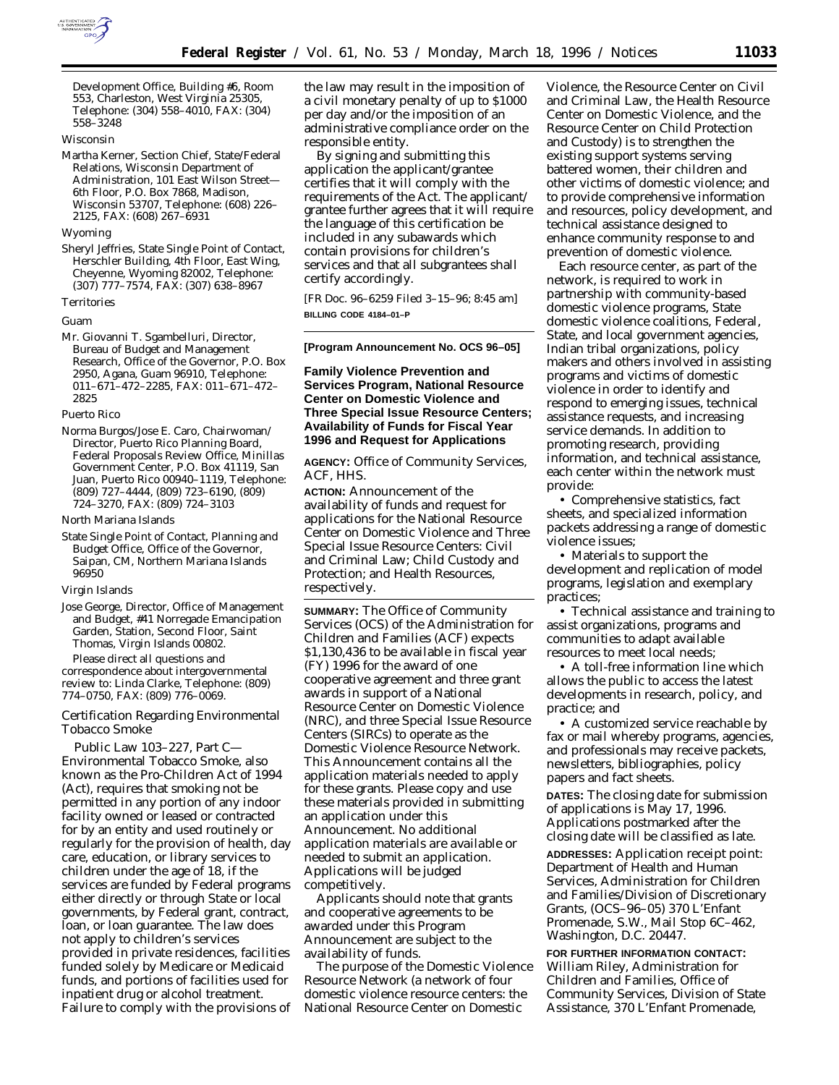

Development Office, Building #6, Room 553, Charleston, West Virginia 25305, Telephone: (304) 558–4010, FAX: (304) 558–3248

#### Wisconsin

Martha Kerner, Section Chief, State/Federal Relations, Wisconsin Department of Administration, 101 East Wilson Street— 6th Floor, P.O. Box 7868, Madison, Wisconsin 53707, Telephone: (608) 226– 2125, FAX: (608) 267–6931

# Wyoming

Sheryl Jeffries, State Single Point of Contact, Herschler Building, 4th Floor, East Wing, Cheyenne, Wyoming 82002, Telephone: (307) 777–7574, FAX: (307) 638–8967

#### Territories

#### Guam

Mr. Giovanni T. Sgambelluri, Director, Bureau of Budget and Management Research, Office of the Governor, P.O. Box 2950, Agana, Guam 96910, Telephone: 011–671–472–2285, FAX: 011–671–472– 2825

#### Puerto Rico

Norma Burgos/Jose E. Caro, Chairwoman/ Director, Puerto Rico Planning Board, Federal Proposals Review Office, Minillas Government Center, P.O. Box 41119, San Juan, Puerto Rico 00940–1119, Telephone: (809) 727–4444, (809) 723–6190, (809) 724–3270, FAX: (809) 724–3103

### North Mariana Islands

State Single Point of Contact, Planning and Budget Office, Office of the Governor, Saipan, CM, Northern Mariana Islands 96950

#### Virgin Islands

Jose George, Director, Office of Management and Budget, #41 Norregade Emancipation Garden, Station, Second Floor, Saint Thomas, Virgin Islands 00802.

Please direct all questions and correspondence about intergovernmental review to: Linda Clarke, Telephone: (809) 774–0750, FAX: (809) 776–0069.

# *Certification Regarding Environmental Tobacco Smoke*

Public Law 103–227, Part C— Environmental Tobacco Smoke, also known as the Pro-Children Act of 1994 (Act), requires that smoking not be permitted in any portion of any indoor facility owned or leased or contracted for by an entity and used routinely or regularly for the provision of health, day care, education, or library services to children under the age of 18, if the services are funded by Federal programs either directly or through State or local governments, by Federal grant, contract, loan, or loan guarantee. The law does not apply to children's services provided in private residences, facilities funded solely by Medicare or Medicaid funds, and portions of facilities used for inpatient drug or alcohol treatment. Failure to comply with the provisions of the law may result in the imposition of a civil monetary penalty of up to \$1000 per day and/or the imposition of an administrative compliance order on the responsible entity.

By signing and submitting this application the applicant/grantee certifies that it will comply with the requirements of the Act. The applicant/ grantee further agrees that it will require the language of this certification be included in any subawards which contain provisions for children's services and that all subgrantees shall certify accordingly.

[FR Doc. 96–6259 Filed 3–15–96; 8:45 am] **BILLING CODE 4184–01–P**

# **[Program Announcement No. OCS 96–05]**

**Family Violence Prevention and Services Program, National Resource Center on Domestic Violence and Three Special Issue Resource Centers; Availability of Funds for Fiscal Year 1996 and Request for Applications**

**AGENCY:** Office of Community Services, ACF, HHS.

**ACTION:** Announcement of the availability of funds and request for applications for the National Resource Center on Domestic Violence and Three Special Issue Resource Centers: Civil and Criminal Law; Child Custody and Protection; and Health Resources, respectively.

**SUMMARY:** The Office of Community Services (OCS) of the Administration for Children and Families (ACF) expects \$1,130,436 to be available in fiscal year (FY) 1996 for the award of one cooperative agreement and three grant awards in support of a National Resource Center on Domestic Violence (NRC), and three Special Issue Resource Centers (SIRCs) to operate as the Domestic Violence Resource Network. This Announcement contains all the application materials needed to apply for these grants. Please copy and use these materials provided in submitting an application under this Announcement. *No additional application materials are available or needed to submit an application.* Applications will be judged competitively.

Applicants should note that grants and cooperative agreements to be awarded under this Program Announcement are subject to the availability of funds.

The purpose of the Domestic Violence Resource Network (a network of four domestic violence resource centers: the National Resource Center on Domestic

Violence, the Resource Center on Civil and Criminal Law, the Health Resource Center on Domestic Violence, and the Resource Center on Child Protection and Custody) is to strengthen the existing support systems serving battered women, their children and other victims of domestic violence; and to provide comprehensive information and resources, policy development, and technical assistance designed to enhance community response to and prevention of domestic violence.

Each resource center, as part of the network, is required to work in partnership with community-based domestic violence programs, State domestic violence coalitions, Federal, State, and local government agencies, Indian tribal organizations, policy makers and others involved in assisting programs and victims of domestic violence in order to identify and respond to emerging issues, technical assistance requests, and increasing service demands. In addition to promoting research, providing information, and technical assistance, each center within the network must provide:

• Comprehensive statistics, fact sheets, and specialized information packets addressing a range of domestic violence issues;

• Materials to support the development and replication of model programs, legislation and exemplary practices;

• Technical assistance and training to assist organizations, programs and communities to adapt available resources to meet local needs;

• A toll-free information line which allows the public to access the latest developments in research, policy, and practice; and

• A customized service reachable by fax or mail whereby programs, agencies, and professionals may receive packets, newsletters, bibliographies, policy papers and fact sheets.

**DATES:** The closing date for submission of applications is May 17, 1996. Applications postmarked after the closing date will be classified as late.

**ADDRESSES:** Application receipt point: Department of Health and Human Services, Administration for Children and Families/Division of Discretionary Grants, (OCS–96–05) 370 L'Enfant Promenade, S.W., Mail Stop 6C–462, Washington, D.C. 20447.

**FOR FURTHER INFORMATION CONTACT:** William Riley, Administration for Children and Families, Office of Community Services, Division of State Assistance, 370 L'Enfant Promenade,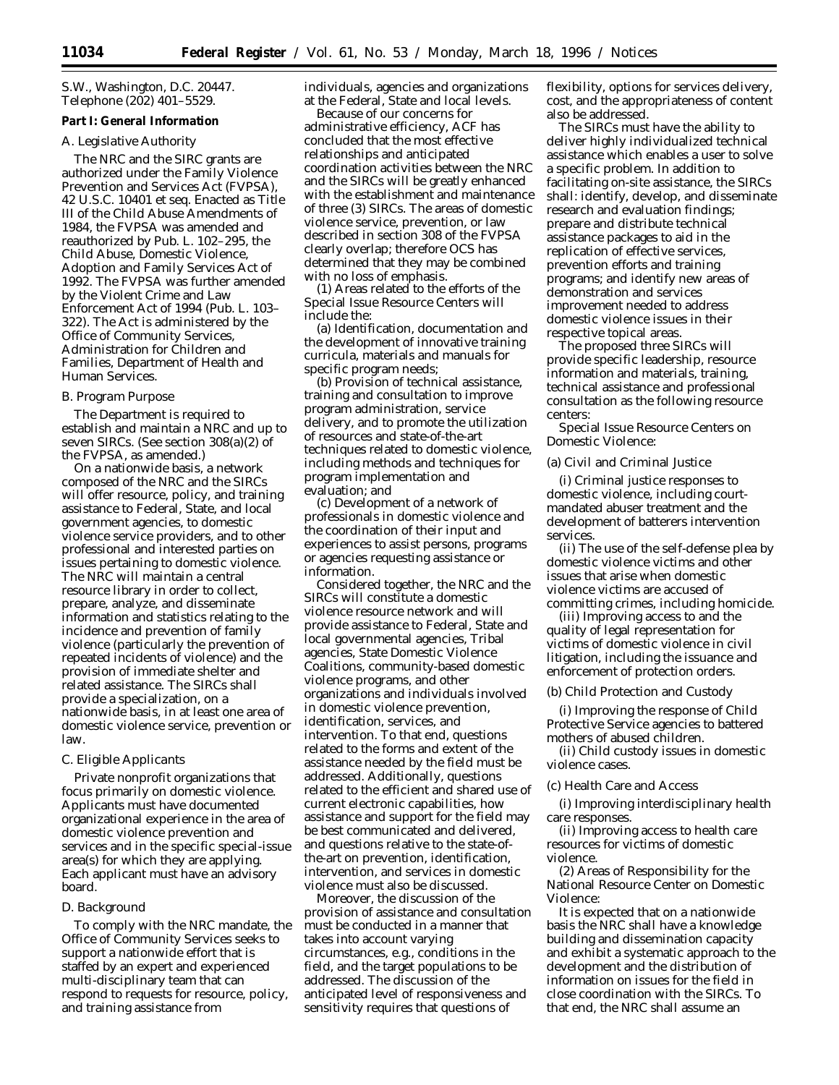S.W., Washington, D.C. 20447. Telephone (202) 401–5529.

# **Part I: General Information**

# *A. Legislative Authority*

The NRC and the SIRC grants are authorized under the Family Violence Prevention and Services Act (FVPSA), 42 U.S.C. 10401 et seq. Enacted as Title III of the Child Abuse Amendments of 1984, the FVPSA was amended and reauthorized by Pub. L. 102–295, the Child Abuse, Domestic Violence, Adoption and Family Services Act of 1992. The FVPSA was further amended by the Violent Crime and Law Enforcement Act of 1994 (Pub. L. 103– 322). The Act is administered by the Office of Community Services, Administration for Children and Families, Department of Health and Human Services.

# *B. Program Purpose*

The Department is required to establish and maintain a NRC and up to seven SIRCs. (See section 308(a)(2) of the FVPSA, as amended.)

On a nationwide basis, a network composed of the NRC and the SIRCs will offer resource, policy, and training assistance to Federal, State, and local government agencies, to domestic violence service providers, and to other professional and interested parties on issues pertaining to domestic violence. The NRC will maintain a central resource library in order to collect, prepare, analyze, and disseminate information and statistics relating to the incidence and prevention of family violence (particularly the prevention of repeated incidents of violence) and the provision of immediate shelter and related assistance. The SIRCs shall provide a specialization, on a nationwide basis, in at least one area of domestic violence service, prevention or law.

# *C. Eligible Applicants*

Private nonprofit organizations that focus primarily on domestic violence. Applicants must have documented organizational experience in the area of domestic violence prevention and services and in the specific special-issue area(s) for which they are applying. Each applicant must have an advisory board.

# *D. Background*

To comply with the NRC mandate, the Office of Community Services seeks to support a nationwide effort that is staffed by an expert and experienced multi-disciplinary team that can respond to requests for resource, policy, and training assistance from

individuals, agencies and organizations at the Federal, State and local levels.

Because of our concerns for administrative efficiency, ACF has concluded that the most effective relationships and anticipated coordination activities between the NRC and the SIRCs will be greatly enhanced with the establishment and maintenance of three (3) SIRCs. The areas of domestic violence service, prevention, or law described in section 308 of the FVPSA clearly overlap; therefore OCS has determined that they may be combined with no loss of emphasis.

(1) Areas related to the efforts of the Special Issue Resource Centers will include the:

(a) Identification, documentation and the development of innovative training curricula, materials and manuals for specific program needs;

(b) Provision of technical assistance, training and consultation to improve program administration, service delivery, and to promote the utilization of resources and state-of-the-art techniques related to domestic violence, including methods and techniques for program implementation and evaluation; and

(c) Development of a network of professionals in domestic violence and the coordination of their input and experiences to assist persons, programs or agencies requesting assistance or information.

Considered together, the NRC and the SIRCs will constitute a domestic violence resource network and will provide assistance to Federal, State and local governmental agencies, Tribal agencies, State Domestic Violence Coalitions, community-based domestic violence programs, and other organizations and individuals involved in domestic violence prevention, identification, services, and intervention. To that end, questions related to the forms and extent of the assistance needed by the field must be addressed. Additionally, questions related to the efficient and shared use of current electronic capabilities, how assistance and support for the field may be best communicated and delivered, and questions relative to the state-ofthe-art on prevention, identification, intervention, and services in domestic violence must also be discussed.

Moreover, the discussion of the provision of assistance and consultation must be conducted in a manner that takes into account varying circumstances, e.g., conditions in the field, and the target populations to be addressed. The discussion of the anticipated level of responsiveness and sensitivity requires that questions of

flexibility, options for services delivery, cost, and the appropriateness of content also be addressed.

The SIRCs must have the ability to deliver highly individualized technical assistance which enables a user to solve a specific problem. In addition to facilitating on-site assistance, the SIRCs shall: identify, develop, and disseminate research and evaluation findings; prepare and distribute technical assistance packages to aid in the replication of effective services, prevention efforts and training programs; and identify new areas of demonstration and services improvement needed to address domestic violence issues in their respective topical areas.

The proposed three SIRCs will provide specific leadership, resource information and materials, training, technical assistance and professional consultation as the following resource centers:

Special Issue Resource Centers on Domestic Violence:

(a) Civil and Criminal Justice

(i) Criminal justice responses to domestic violence, including courtmandated abuser treatment and the development of batterers intervention services.

(ii) The use of the self-defense plea by domestic violence victims and other issues that arise when domestic violence victims are accused of committing crimes, including homicide.

(iii) Improving access to and the quality of legal representation for victims of domestic violence in civil litigation, including the issuance and enforcement of protection orders.

# (b) Child Protection and Custody

(i) Improving the response of Child Protective Service agencies to battered mothers of abused children.

(ii) Child custody issues in domestic violence cases.

#### (c) Health Care and Access

(i) Improving interdisciplinary health care responses.

(ii) Improving access to health care resources for victims of domestic violence.

(2) Areas of Responsibility for the National Resource Center on Domestic Violence:

It is expected that on a nationwide basis the NRC shall have a knowledge building and dissemination capacity and exhibit a systematic approach to the development and the distribution of information on issues for the field in close coordination with the SIRCs. To that end, the NRC shall assume an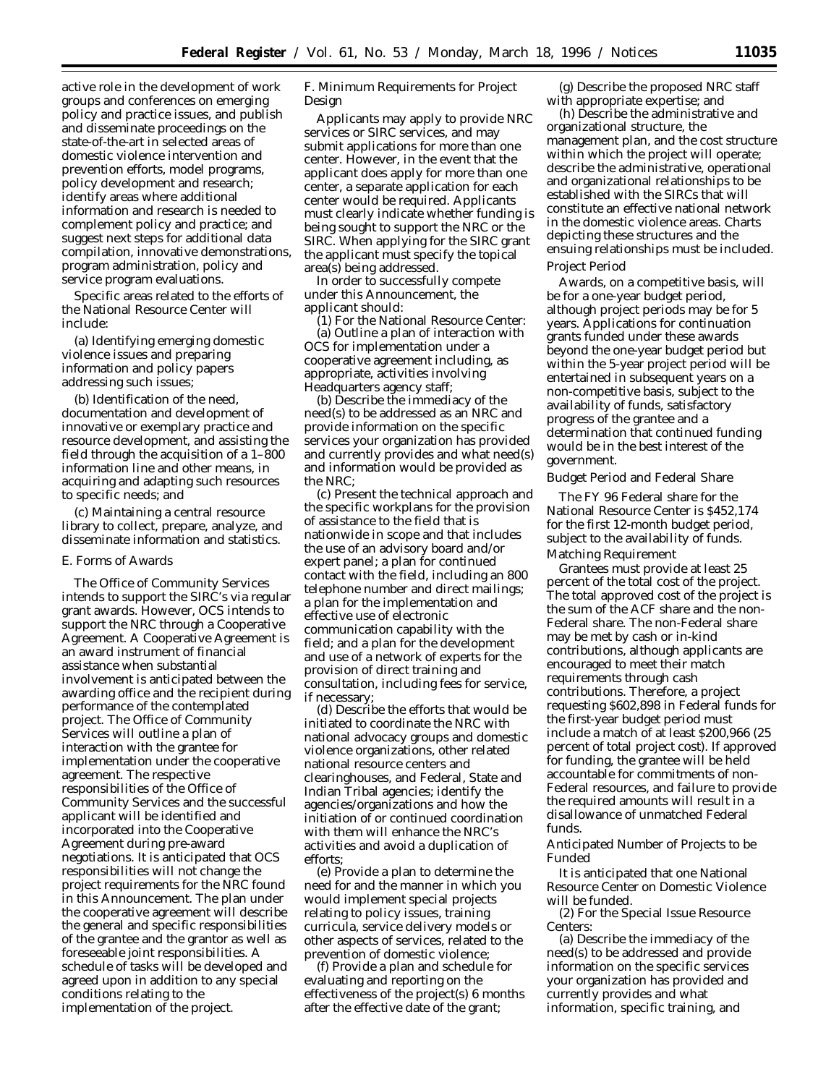active role in the development of work groups and conferences on emerging policy and practice issues, and publish and disseminate proceedings on the state-of-the-art in selected areas of domestic violence intervention and prevention efforts, model programs, policy development and research; identify areas where additional information and research is needed to complement policy and practice; and suggest next steps for additional data compilation, innovative demonstrations, program administration, policy and service program evaluations.

Specific areas related to the efforts of the National Resource Center will include:

(a) Identifying emerging domestic violence issues and preparing information and policy papers addressing such issues;

(b) Identification of the need, documentation and development of innovative or exemplary practice and resource development, and assisting the field through the acquisition of a 1–800 information line and other means, in acquiring and adapting such resources to specific needs; and

(c) Maintaining a central resource library to collect, prepare, analyze, and disseminate information and statistics.

#### *E. Forms of Awards*

The Office of Community Services intends to support the SIRC's via regular grant awards. However, OCS intends to support the NRC through a Cooperative Agreement. A Cooperative Agreement is an award instrument of financial assistance when substantial involvement is anticipated between the awarding office and the recipient during performance of the contemplated project. The Office of Community Services will outline a plan of interaction with the grantee for implementation under the cooperative agreement. The respective responsibilities of the Office of Community Services and the successful applicant will be identified and incorporated into the Cooperative Agreement during pre-award negotiations. It is anticipated that OCS responsibilities will not change the project requirements for the NRC found in this Announcement. The plan under the cooperative agreement will describe the general and specific responsibilities of the grantee and the grantor as well as foreseeable joint responsibilities. A schedule of tasks will be developed and agreed upon in addition to any special conditions relating to the implementation of the project.

# *F. Minimum Requirements for Project Design*

Applicants may apply to provide NRC services or SIRC services, and may submit applications for more than one center. However, in the event that the applicant does apply for more than one center, a separate application for each center would be required. Applicants must clearly indicate whether funding is being sought to support the NRC or the SIRC. When applying for the SIRC grant the applicant must specify the topical area(s) being addressed.

In order to successfully compete under this Announcement, the applicant should:

(1) For the National Resource Center: (a) Outline a plan of interaction with OCS for implementation under a cooperative agreement including, as appropriate, activities involving Headquarters agency staff;

(b) Describe the immediacy of the need(s) to be addressed as an NRC and provide information on the specific services your organization has provided and currently provides and what need(s) and information would be provided as the NRC;

(c) Present the technical approach and the specific workplans for the provision of assistance to the field that is nationwide in scope and that includes the use of an advisory board and/or expert panel; a plan for continued contact with the field, including an 800 telephone number and direct mailings; a plan for the implementation and effective use of electronic communication capability with the field; and a plan for the development and use of a network of experts for the provision of direct training and consultation, including fees for service, if necessary;

(d) Describe the efforts that would be initiated to coordinate the NRC with national advocacy groups and domestic violence organizations, other related national resource centers and clearinghouses, and Federal, State and Indian Tribal agencies; identify the agencies/organizations and how the initiation of or continued coordination with them will enhance the NRC's activities and avoid a duplication of efforts;

(e) Provide a plan to determine the need for and the manner in which you would implement special projects relating to policy issues, training curricula, service delivery models or other aspects of services, related to the prevention of domestic violence;

(f) Provide a plan and schedule for evaluating and reporting on the effectiveness of the project(s) 6 months after the effective date of the grant;

(g) Describe the proposed NRC staff with appropriate expertise; and

(h) Describe the administrative and organizational structure, the management plan, and the cost structure within which the project will operate; describe the administrative, operational and organizational relationships to be established with the SIRCs that will constitute an effective national network in the domestic violence areas. Charts depicting these structures and the ensuing relationships must be included. Project Period

Awards, on a competitive basis, will be for a one-year budget period, although project periods may be for 5 years. Applications for continuation grants funded under these awards beyond the one-year budget period but within the 5-year project period will be entertained in subsequent years on a non-competitive basis, subject to the availability of funds, satisfactory progress of the grantee and a determination that continued funding would be in the best interest of the government.

Budget Period and Federal Share

The FY 96 Federal share for the National Resource Center is \$452,174 for the first 12-month budget period, subject to the availability of funds.

Matching Requirement

Grantees must provide at least 25 percent of the total cost of the project. The total approved cost of the project is the sum of the ACF share and the non-Federal share. The non-Federal share may be met by cash or in-kind contributions, although applicants are encouraged to meet their match requirements through cash contributions. Therefore, a project requesting \$602,898 in Federal funds for the first-year budget period must include a match of at least \$200,966 (25 percent of total project cost). If approved for funding, the grantee will be held accountable for commitments of non-Federal resources, and failure to provide the required amounts will result in a disallowance of unmatched Federal funds.

Anticipated Number of Projects to be Funded

It is anticipated that one National Resource Center on Domestic Violence will be funded.

(2) For the Special Issue Resource Centers:

(a) Describe the immediacy of the need(s) to be addressed and provide information on the specific services your organization has provided and currently provides and what information, specific training, and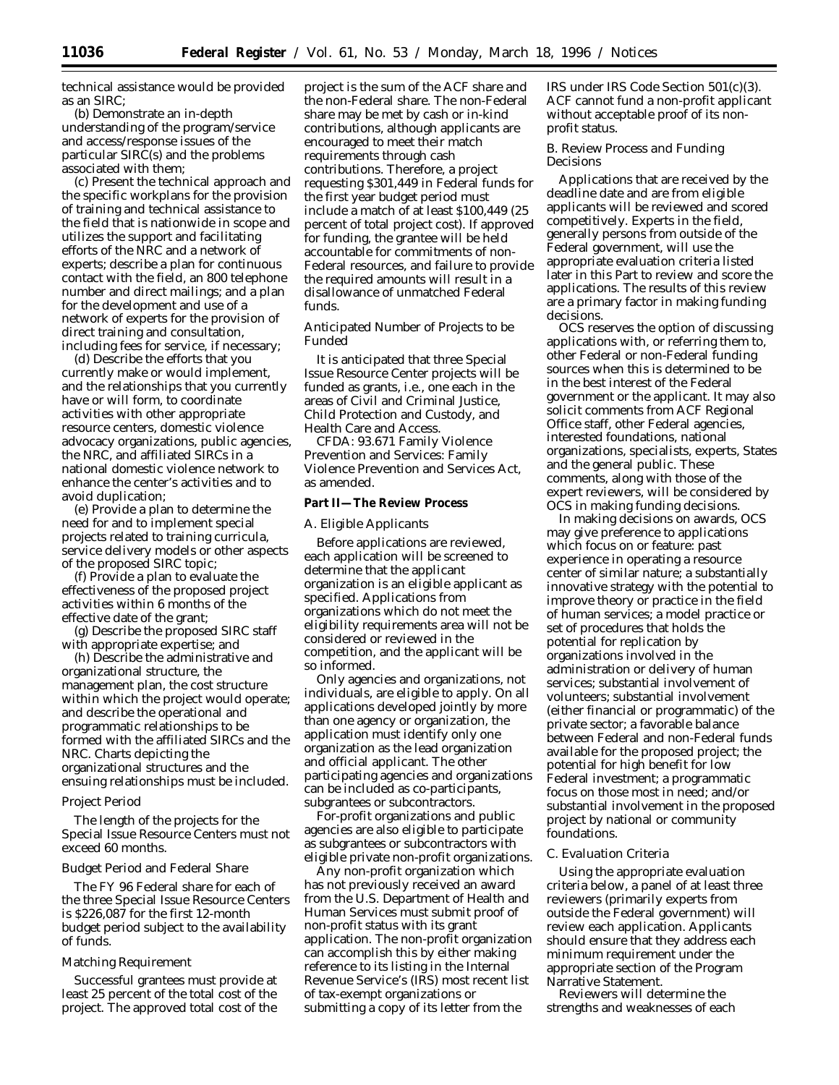technical assistance would be provided as an SIRC;

(b) Demonstrate an in-depth understanding of the program/service and access/response issues of the particular SIRC(s) and the problems associated with them;

(c) Present the technical approach and the specific workplans for the provision of training and technical assistance to the field that is nationwide in scope and utilizes the support and facilitating efforts of the NRC and a network of experts; describe a plan for continuous contact with the field, an 800 telephone number and direct mailings; and a plan for the development and use of a network of experts for the provision of direct training and consultation, including fees for service, if necessary;

(d) Describe the efforts that you currently make or would implement, and the relationships that you currently have or will form, to coordinate activities with other appropriate resource centers, domestic violence advocacy organizations, public agencies, the NRC, and affiliated SIRCs in a national domestic violence network to enhance the center's activities and to avoid duplication;

(e) Provide a plan to determine the need for and to implement special projects related to training curricula, service delivery models or other aspects of the proposed SIRC topic;

(f) Provide a plan to evaluate the effectiveness of the proposed project activities within 6 months of the effective date of the grant;

(g) Describe the proposed SIRC staff with appropriate expertise; and

(h) Describe the administrative and organizational structure, the management plan, the cost structure within which the project would operate; and describe the operational and programmatic relationships to be formed with the affiliated SIRCs and the NRC. Charts depicting the organizational structures and the ensuing relationships must be included.

#### Project Period

The length of the projects for the Special Issue Resource Centers must not exceed 60 months.

#### Budget Period and Federal Share

The FY 96 Federal share for each of the three Special Issue Resource Centers is \$226,087 for the first 12-month budget period subject to the availability of funds.

# Matching Requirement

Successful grantees must provide at least 25 percent of the total cost of the project. The approved total cost of the

project is the sum of the ACF share and the non-Federal share. The non-Federal share may be met by cash or in-kind contributions, although applicants are encouraged to meet their match requirements through cash contributions. Therefore, a project requesting \$301,449 in Federal funds for the first year budget period must include a match of at least \$100,449 (25 percent of total project cost). If approved for funding, the grantee will be held accountable for commitments of non-Federal resources, and failure to provide the required amounts will result in a disallowance of unmatched Federal funds.

Anticipated Number of Projects to be Funded

It is anticipated that three Special Issue Resource Center projects will be funded as grants, i.e., one each in the areas of Civil and Criminal Justice, Child Protection and Custody, and Health Care and Access.

CFDA: 93.671 Family Violence Prevention and Services: Family Violence Prevention and Services Act, as amended.

# **Part II—The Review Process**

#### *A. Eligible Applicants*

Before applications are reviewed, each application will be screened to determine that the applicant organization is an eligible applicant as specified. Applications from organizations which do not meet the eligibility requirements area will not be considered or reviewed in the competition, and the applicant will be so informed.

Only agencies and organizations, not individuals, are eligible to apply. On all applications developed jointly by more than one agency or organization, the application must identify only one organization as the lead organization and official applicant. The other participating agencies and organizations can be included as co-participants, subgrantees or subcontractors.

For-profit organizations and public agencies are also eligible to participate as subgrantees or subcontractors with eligible private non-profit organizations.

Any non-profit organization which has not previously received an award from the U.S. Department of Health and Human Services must submit proof of non-profit status with its grant application. The non-profit organization can accomplish this by either making reference to its listing in the Internal Revenue Service's (IRS) most recent list of tax-exempt organizations or submitting a copy of its letter from the

IRS under IRS Code Section 501(c)(3). ACF cannot fund a non-profit applicant without acceptable proof of its nonprofit status.

# *B. Review Process and Funding Decisions*

Applications that are received by the deadline date and are from eligible applicants will be reviewed and scored competitively. Experts in the field, generally persons from outside of the Federal government, will use the appropriate evaluation criteria listed later in this Part to review and score the applications. The results of this review are a primary factor in making funding decisions.

OCS reserves the option of discussing applications with, or referring them to, other Federal or non-Federal funding sources when this is determined to be in the best interest of the Federal government or the applicant. It may also solicit comments from ACF Regional Office staff, other Federal agencies, interested foundations, national organizations, specialists, experts, States and the general public. These comments, along with those of the expert reviewers, will be considered by OCS in making funding decisions.

In making decisions on awards, OCS may give preference to applications which focus on or feature: past experience in operating a resource center of similar nature; a substantially innovative strategy with the potential to improve theory or practice in the field of human services; a model practice or set of procedures that holds the potential for replication by organizations involved in the administration or delivery of human services; substantial involvement of volunteers; substantial involvement (either financial or programmatic) of the private sector; a favorable balance between Federal and non-Federal funds available for the proposed project; the potential for high benefit for low Federal investment; a programmatic focus on those most in need; and/or substantial involvement in the proposed project by national or community foundations.

# *C. Evaluation Criteria*

Using the appropriate evaluation criteria below, a panel of at least three reviewers (primarily experts from outside the Federal government) will review each application. Applicants should ensure that they address each minimum requirement under the appropriate section of the Program Narrative Statement.

Reviewers will determine the strengths and weaknesses of each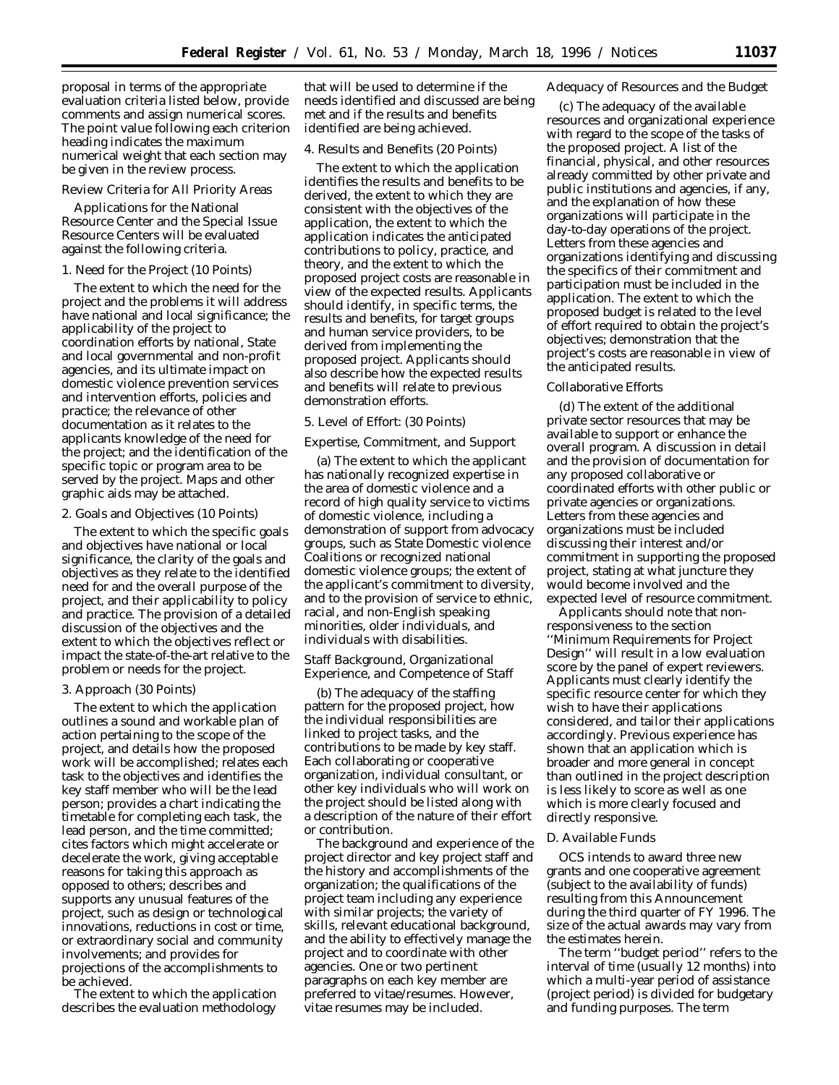proposal in terms of the appropriate evaluation criteria listed below, provide comments and assign numerical scores. The point value following each criterion heading indicates the maximum numerical weight that each section may be given in the review process.

#### Review Criteria for All Priority Areas

Applications for the National Resource Center and the Special Issue Resource Centers will be evaluated against the following criteria.

# 1. Need for the Project (10 Points)

The extent to which the need for the project and the problems it will address have national and local significance; the applicability of the project to coordination efforts by national, State and local governmental and non-profit agencies, and its ultimate impact on domestic violence prevention services and intervention efforts, policies and practice; the relevance of other documentation as it relates to the applicants knowledge of the need for the project; and the identification of the specific topic or program area to be served by the project. Maps and other graphic aids may be attached.

#### 2. Goals and Objectives (10 Points)

The extent to which the specific goals and objectives have national or local significance, the clarity of the goals and objectives as they relate to the identified need for and the overall purpose of the project, and their applicability to policy and practice. The provision of a detailed discussion of the objectives and the extent to which the objectives reflect or impact the state-of-the-art relative to the problem or needs for the project.

#### 3. Approach (30 Points)

The extent to which the application outlines a sound and workable plan of action pertaining to the scope of the project, and details how the proposed work will be accomplished; relates each task to the objectives and identifies the key staff member who will be the lead person; provides a chart indicating the timetable for completing each task, the lead person, and the time committed; cites factors which might accelerate or decelerate the work, giving acceptable reasons for taking this approach as opposed to others; describes and supports any unusual features of the project, such as design or technological innovations, reductions in cost or time, or extraordinary social and community involvements; and provides for projections of the accomplishments to be achieved.

The extent to which the application describes the evaluation methodology

that will be used to determine if the needs identified and discussed are being met and if the results and benefits identified are being achieved.

#### 4. Results and Benefits (20 Points)

The extent to which the application identifies the results and benefits to be derived, the extent to which they are consistent with the objectives of the application, the extent to which the application indicates the anticipated contributions to policy, practice, and theory, and the extent to which the proposed project costs are reasonable in view of the expected results. Applicants should identify, in specific terms, the results and benefits, for target groups and human service providers, to be derived from implementing the proposed project. Applicants should also describe how the expected results and benefits will relate to previous demonstration efforts.

# 5. Level of Effort: (30 Points)

# *Expertise, Commitment, and Support*

(a) The extent to which the applicant has nationally recognized expertise in the area of domestic violence and a record of high quality service to victims of domestic violence, including a demonstration of support from advocacy groups, such as State Domestic violence Coalitions or recognized national domestic violence groups; the extent of the applicant's commitment to diversity, and to the provision of service to ethnic, racial, and non-English speaking minorities, older individuals, and individuals with disabilities.

# *Staff Background, Organizational Experience, and Competence of Staff*

(b) The adequacy of the staffing pattern for the proposed project, how the individual responsibilities are linked to project tasks, and the contributions to be made by key staff. Each collaborating or cooperative organization, individual consultant, or other key individuals who will work on the project should be listed along with a description of the nature of their effort or contribution.

The background and experience of the project director and key project staff and the history and accomplishments of the organization; the qualifications of the project team including any experience with similar projects; the variety of skills, relevant educational background, and the ability to effectively manage the project and to coordinate with other agencies. One or two pertinent paragraphs on each key member are preferred to vitae/resumes. However, vitae resumes may be included.

# *Adequacy of Resources and the Budget*

(c) The adequacy of the available resources and organizational experience with regard to the scope of the tasks of the proposed project. A list of the financial, physical, and other resources already committed by other private and public institutions and agencies, if any, and the explanation of how these organizations will participate in the day-to-day operations of the project. Letters from these agencies and organizations identifying and discussing the specifics of their commitment and participation must be included in the application. The extent to which the proposed budget is related to the level of effort required to obtain the project's objectives; demonstration that the project's costs are reasonable in view of the anticipated results.

#### *Collaborative Efforts*

(d) The extent of the additional private sector resources that may be available to support or enhance the overall program. A discussion in detail and the provision of documentation for any proposed collaborative or coordinated efforts with other public or private agencies or organizations. Letters from these agencies and organizations must be included discussing their interest and/or commitment in supporting the proposed project, stating at what juncture they would become involved and the expected level of resource commitment.

Applicants should note that nonresponsiveness to the section ''*Minimum Requirements for Project Design*'' will result in a low evaluation score by the panel of expert reviewers. Applicants must clearly identify the specific resource center for which they wish to have their applications considered, and tailor their applications accordingly. Previous experience has shown that an application which is broader and more general in concept than outlined in the project description is less likely to score as well as one which is more clearly focused and directly responsive.

# *D. Available Funds*

OCS intends to award three new grants and one cooperative agreement (subject to the availability of funds) resulting from this Announcement during the third quarter of FY 1996. The size of the actual awards may vary from the estimates herein.

The term ''budget period'' refers to the interval of time (usually 12 months) into which a multi-year period of assistance (project period) is divided for budgetary and funding purposes. The term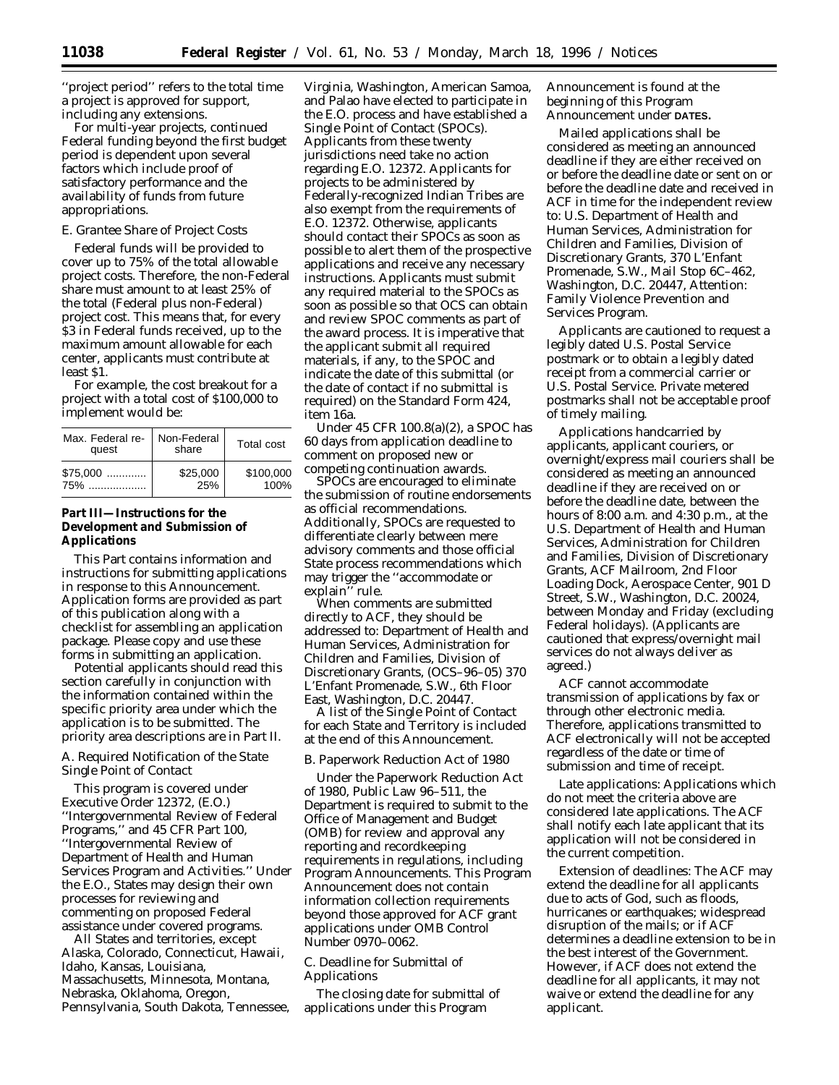''project period'' refers to the total time a project is approved for support, including any extensions.

For multi-year projects, continued Federal funding beyond the first budget period is dependent upon several factors which include proof of satisfactory performance and the availability of funds from future appropriations.

# *E. Grantee Share of Project Costs*

Federal funds will be provided to cover up to 75% of the total allowable project costs. Therefore, the non-Federal share must amount to at least 25% of the total (Federal plus non-Federal) project cost. This means that, for every \$3 in Federal funds received, up to the maximum amount allowable for each center, applicants must contribute at least \$1.

For example, the cost breakout for a project with a total cost of \$100,000 to implement would be:

| Max. Federal re-<br>quest | Non-Federal<br>share | Total cost |
|---------------------------|----------------------|------------|
| $$75,000$                 | \$25,000             | \$100,000  |
| $75\%$                    | 25%                  | 100%       |

**Part III—Instructions for the Development and Submission of Applications**

This Part contains information and instructions for submitting applications in response to this Announcement. Application forms are provided as part of this publication along with a checklist for assembling an application package. Please copy and use these forms in submitting an application.

Potential applicants should read this section carefully in conjunction with the information contained within the specific priority area under which the application is to be submitted. The priority area descriptions are in Part II.

# *A. Required Notification of the State Single Point of Contact*

This program is covered under Executive Order 12372, (E.O.) ''Intergovernmental Review of Federal Programs,'' and 45 CFR Part 100, ''Intergovernmental Review of Department of Health and Human Services Program and Activities.'' Under the E.O., States may design their own processes for reviewing and commenting on proposed Federal assistance under covered programs.

All States and territories, except Alaska, Colorado, Connecticut, Hawaii, Idaho, Kansas, Louisiana, Massachusetts, Minnesota, Montana, Nebraska, Oklahoma, Oregon, Pennsylvania, South Dakota, Tennessee,

Virginia, Washington, American Samoa, and Palao have elected to participate in the E.O. process and have established a Single Point of Contact (SPOCs). Applicants from these twenty jurisdictions need take no action regarding E.O. 12372. Applicants for projects to be administered by Federally-recognized Indian Tribes are also exempt from the requirements of E.O. 12372. Otherwise, applicants should contact their SPOCs as soon as possible to alert them of the prospective applications and receive any necessary instructions. Applicants must submit any required material to the SPOCs as soon as possible so that OCS can obtain and review SPOC comments as part of the award process. It is imperative that the applicant submit all required materials, if any, to the SPOC and indicate the date of this submittal (or the date of contact if no submittal is required) on the Standard Form 424, item 16a.

Under 45 CFR 100.8(a)(2), a SPOC has 60 days from application deadline to comment on proposed new or competing continuation awards.

SPOCs are encouraged to eliminate the submission of routine endorsements as official recommendations. Additionally, SPOCs are requested to differentiate clearly between mere advisory comments and those official State process recommendations which may trigger the ''accommodate or explain'' rule.

When comments are submitted directly to ACF, they should be addressed to: Department of Health and Human Services, Administration for Children and Families, Division of Discretionary Grants, (OCS–96–05) 370 L'Enfant Promenade, S.W., 6th Floor East, Washington, D.C. 20447.

A list of the Single Point of Contact for each State and Territory is included at the end of this Announcement.

# *B. Paperwork Reduction Act of 1980*

Under the Paperwork Reduction Act of 1980, Public Law 96–511, the Department is required to submit to the Office of Management and Budget (OMB) for review and approval any reporting and recordkeeping requirements in regulations, including Program Announcements. This Program Announcement does not contain information collection requirements beyond those approved for ACF grant applications under OMB Control Number 0970–0062.

# *C. Deadline for Submittal of Applications*

The closing date for submittal of applications under this Program

Announcement is found at the beginning of this Program Announcement under **DATES.**

Mailed applications shall be considered as meeting an announced deadline if they are either received on or before the deadline date or sent on or before the deadline date and received in ACF in time for the independent review to: U.S. Department of Health and Human Services, Administration for Children and Families, Division of Discretionary Grants, 370 L'Enfant Promenade, S.W., Mail Stop 6C–462, Washington, D.C. 20447, Attention: Family Violence Prevention and Services Program.

Applicants are cautioned to request a legibly dated U.S. Postal Service postmark or to obtain a legibly dated receipt from a commercial carrier or U.S. Postal Service. Private metered postmarks shall not be acceptable proof of timely mailing.

Applications handcarried by applicants, applicant couriers, or overnight/express mail couriers shall be considered as meeting an announced deadline if they are received on or before the deadline date, between the hours of 8:00 a.m. and 4:30 p.m., at the U.S. Department of Health and Human Services, Administration for Children and Families, Division of Discretionary Grants, ACF Mailroom, 2nd Floor Loading Dock, Aerospace Center, 901 D Street, S.W., Washington, D.C. 20024, between Monday and Friday (excluding Federal holidays). (Applicants are cautioned that express/overnight mail services do not always deliver as agreed.)

ACF cannot accommodate transmission of applications by fax or through other electronic media. Therefore, applications transmitted to ACF electronically will not be accepted regardless of the date or time of submission and time of receipt.

*Late applications:* Applications which do not meet the criteria above are considered late applications. The ACF shall notify each late applicant that its application will not be considered in the current competition.

*Extension of deadlines:* The ACF may extend the deadline for all applicants due to acts of God, such as floods, hurricanes or earthquakes; widespread disruption of the mails; or if ACF determines a deadline extension to be in the best interest of the Government. However, if ACF does not extend the deadline for all applicants, it may not waive or extend the deadline for any applicant.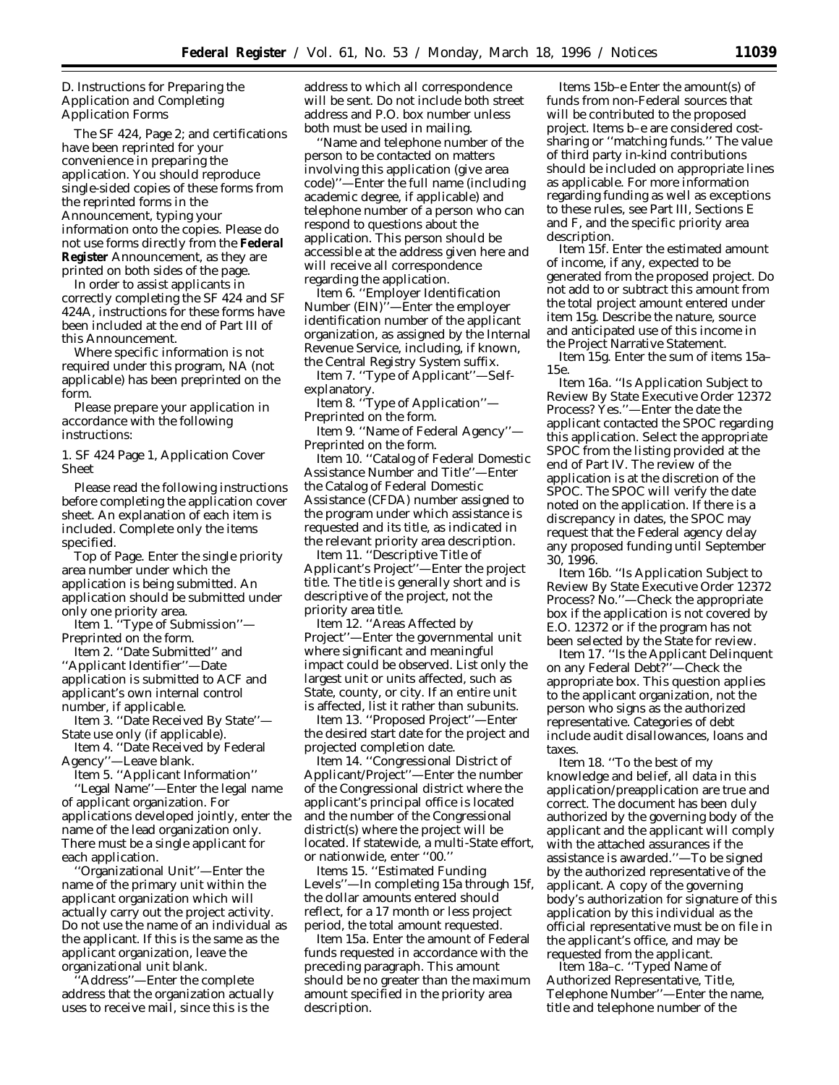# *D. Instructions for Preparing the Application and Completing Application Forms*

The SF 424, Page 2; and certifications have been reprinted for your convenience in preparing the application. You should reproduce single-sided copies of these forms from the reprinted forms in the Announcement, typing your information onto the copies. Please do not use forms directly from the **Federal Register** Announcement, as they are printed on both sides of the page.

In order to assist applicants in correctly completing the SF 424 and SF 424A, instructions for these forms have been included at the end of Part III of this Announcement.

Where specific information is not required under this program, NA (not applicable) has been preprinted on the form.

*Please prepare your application in accordance with the following instructions:*

1. SF 424 Page 1, Application Cover Sheet

Please read the following instructions before completing the application cover sheet. An explanation of each item is included. Complete only the items specified.

*Top of Page.* Enter the single priority area number under which the application is being submitted. An application should be submitted under only one priority area.

*Item 1.* "Type of Submission"— Preprinted on the form.

*Item 2.* "Date Submitted" and ''Applicant Identifier''—Date application is submitted to ACF and applicant's own internal control number, if applicable.

*Item 3.* "Date Received By State"-State use only (if applicable).

*Item 4.* "Date Received by Federal Agency''—Leave blank.

*Item 5.* "Applicant Information" ''Legal Name''—Enter the legal name of applicant organization. For

applications developed jointly, enter the name of the lead organization only. There must be a single applicant for each application.

''Organizational Unit''—Enter the name of the primary unit within the applicant organization which will actually carry out the project activity. Do not use the name of an individual as the applicant. If this is the same as the applicant organization, leave the organizational unit blank.

'Address''—Enter the complete address that the organization actually uses to receive mail, since this is the

address to which all correspondence will be sent. Do not include both street address and P.O. box number unless both must be used in mailing.

''Name and telephone number of the person to be contacted on matters involving this application (give area code)''—Enter the full name (including academic degree, if applicable) and telephone number of a person who can respond to questions about the application. This person should be accessible at the address given here and will receive all correspondence regarding the application.

*Item 6.* ''Employer Identification Number (EIN)''—Enter the employer identification number of the applicant organization, as assigned by the Internal Revenue Service, including, if known, the Central Registry System suffix.

*Item 7.* "Type of Applicant"-Selfexplanatory.

*Item 8.* ''Type of Application''— Preprinted on the form.

*Item 9.* "Name of Federal Agency"-Preprinted on the form.

*Item 10.* "Catalog of Federal Domestic Assistance Number and Title''—Enter the Catalog of Federal Domestic Assistance (CFDA) number assigned to the program under which assistance is requested and its title, as indicated in the relevant priority area description.

*Item 11.* ''Descriptive Title of Applicant's Project''—Enter the project title. The title is generally short and is descriptive of the project, not the priority area title.

Item 12. "Areas Affected by Project''—Enter the governmental unit where significant and meaningful impact could be observed. List only the largest unit or units affected, such as State, county, or city. If an entire unit is affected, list it rather than subunits.

*Item 13.* "Proposed Project"—Enter the desired start date for the project and projected completion date.

*Item 14.* "Congressional District of Applicant/Project''—Enter the number of the Congressional district where the applicant's principal office is located and the number of the Congressional district(s) where the project will be located. If statewide, a multi-State effort, or nationwide, enter ''00.''

*Items 15.* "Estimated Funding" Levels''—In completing 15a through 15f, the dollar amounts entered should reflect, for a 17 month or less project period, the total amount requested.

*Item 15a.* Enter the amount of Federal funds requested in accordance with the preceding paragraph. This amount should be no greater than the maximum amount specified in the priority area description.

*Items 15b–e* Enter the amount(s) of funds from non-Federal sources that will be contributed to the proposed project. Items b–e are considered costsharing or ''matching funds.'' The value of third party in-kind contributions should be included on appropriate lines as applicable. For more information regarding funding as well as exceptions to these rules, see Part III, Sections E and F, and the specific priority area description.

*Item 15f.* Enter the estimated amount of income, if any, expected to be generated from the proposed project. Do not add to or subtract this amount from the total project amount entered under item 15g. Describe the nature, source and anticipated use of this income in the Project Narrative Statement.

*Item 15g.* Enter the sum of items 15a– 15e.

*Item 16a.* ''Is Application Subject to Review By State Executive Order 12372 Process? Yes.''—Enter the date the applicant contacted the SPOC regarding this application. Select the appropriate SPOC from the listing provided at the end of Part IV. The review of the application is at the discretion of the SPOC. The SPOC will verify the date noted on the application. If there is a discrepancy in dates, the SPOC may request that the Federal agency delay any proposed funding until September 30, 1996.

*Item 16b.* ''Is Application Subject to Review By State Executive Order 12372 Process? No.''—Check the appropriate box if the application is not covered by E.O. 12372 or if the program has not been selected by the State for review.

*Item 17.* ''Is the Applicant Delinquent on any Federal Debt?''—Check the appropriate box. This question applies to the applicant organization, not the person who signs as the authorized representative. Categories of debt include audit disallowances, loans and taxes.

*Item 18.* ''To the best of my knowledge and belief, all data in this application/preapplication are true and correct. The document has been duly authorized by the governing body of the applicant and the applicant will comply with the attached assurances if the assistance is awarded.''—To be signed by the authorized representative of the applicant. A copy of the governing body's authorization for signature of this application by this individual as the official representative must be on file in the applicant's office, and may be requested from the applicant.

*Item 18a–c.* ''Typed Name of Authorized Representative, Title, Telephone Number''—Enter the name, title and telephone number of the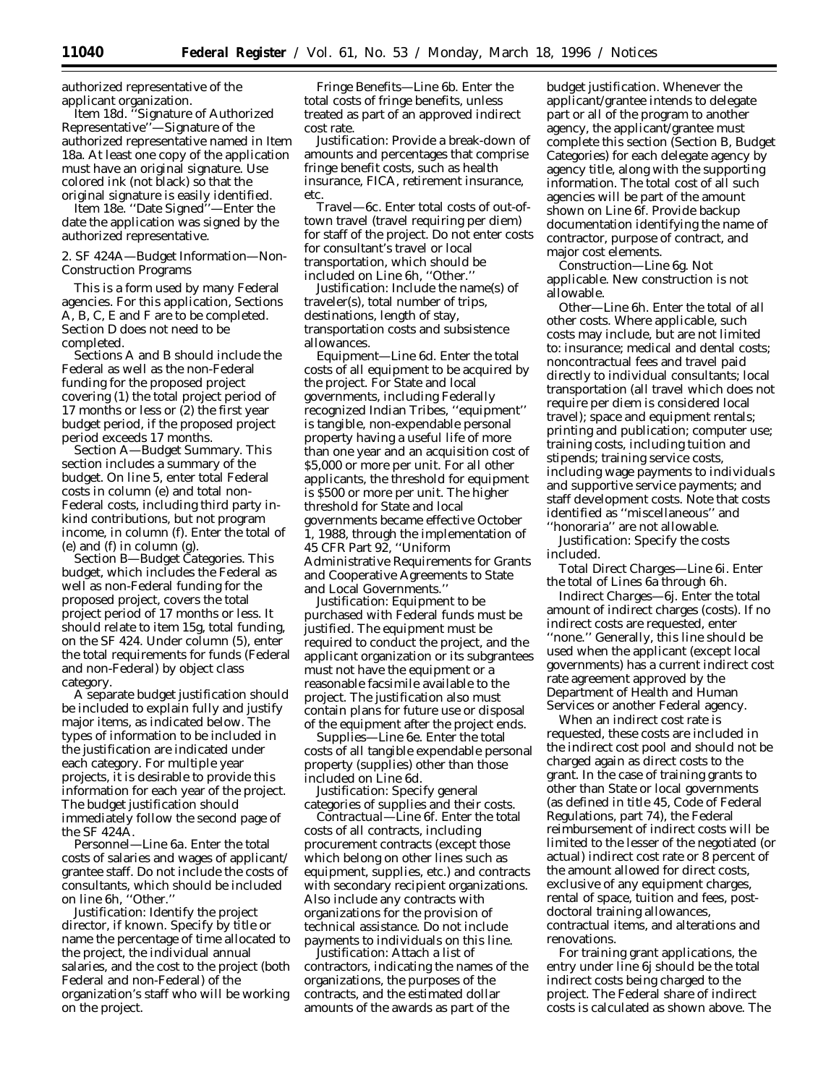authorized representative of the applicant organization.

*Item 18d.* ''Signature of Authorized Representative''—Signature of the authorized representative named in Item 18a. At least one copy of the application must have an original signature. Use colored ink (not black) so that the original signature is easily identified.

*Item 18e.* ''Date Signed''—Enter the date the application was signed by the authorized representative.

2. SF 424A—Budget Information—Non-Construction Programs

This is a form used by many Federal agencies. For this application, Sections A, B, C, E and F are to be completed. Section D does not need to be completed.

Sections A and B should include the Federal as well as the non-Federal funding for the proposed project covering (1) the total project period of 17 months or less or (2) the first year budget period, if the proposed project period exceeds 17 months.

*Section A—Budget Summary.* This section includes a summary of the budget. On line 5, enter total Federal costs in column (e) and total non-Federal costs, including third party inkind contributions, but not program income, in column (f). Enter the total of (e) and (f) in column (g).

*Section B—Budget Categories.* This budget, which includes the Federal as well as non-Federal funding for the proposed project, covers the total project period of 17 months or less. It should relate to item 15g, total funding, on the SF 424. Under column (5), enter the total requirements for funds (Federal and non-Federal) by object class category.

A separate budget justification should be included to explain fully and justify major items, as indicated below. The types of information to be included in the justification are indicated under each category. For multiple year projects, it is desirable to provide this information for each year of the project. The budget justification should immediately follow the second page of the SF 424A.

*Personnel—Line 6a.* Enter the total costs of salaries and wages of applicant/ grantee staff. Do not include the costs of consultants, which should be included on line 6h, ''Other.''

*Justification:* Identify the project director, if known. Specify by title or name the percentage of time allocated to the project, the individual annual salaries, and the cost to the project (both Federal and non-Federal) of the organization's staff who will be working on the project.

*Fringe Benefits—Line 6b.* Enter the total costs of fringe benefits, unless treated as part of an approved indirect cost rate.

*Justification:* Provide a break-down of amounts and percentages that comprise fringe benefit costs, such as health insurance, FICA, retirement insurance, etc.

*Travel—6c.* Enter total costs of out-oftown travel (travel requiring per diem) for staff of the project. Do not enter costs for consultant's travel or local transportation, which should be included on Line 6h, ''Other.''

*Justification:* Include the name(s) of traveler(s), total number of trips, destinations, length of stay, transportation costs and subsistence allowances.

*Equipment—Line 6d.* Enter the total costs of all equipment to be acquired by the project. For State and local governments, including Federally recognized Indian Tribes, ''equipment'' is tangible, non-expendable personal property having a useful life of more than one year and an acquisition cost of \$5,000 or more per unit. For all other applicants, the threshold for equipment is \$500 or more per unit. The higher threshold for State and local governments became effective October 1, 1988, through the implementation of 45 CFR Part 92, ''Uniform Administrative Requirements for Grants and Cooperative Agreements to State and Local Governments.''

*Justification:* Equipment to be purchased with Federal funds must be justified. The equipment must be required to conduct the project, and the applicant organization or its subgrantees must not have the equipment or a reasonable facsimile available to the project. The justification also must contain plans for future use or disposal of the equipment after the project ends.

*Supplies—Line 6e.* Enter the total costs of all tangible expendable personal property (supplies) other than those included on Line 6d.

*Justification:* Specify general categories of supplies and their costs.

*Contractual—Line 6f.* Enter the total costs of all contracts, including procurement contracts (except those which belong on other lines such as equipment, supplies, etc.) and contracts with secondary recipient organizations. Also include any contracts with organizations for the provision of technical assistance. Do not include payments to individuals on this line.

*Justification:* Attach a list of contractors, indicating the names of the organizations, the purposes of the contracts, and the estimated dollar amounts of the awards as part of the

budget justification. Whenever the applicant/grantee intends to delegate part or all of the program to another agency, the applicant/grantee must complete this section (Section B, Budget Categories) for each delegate agency by agency title, along with the supporting information. The total cost of all such agencies will be part of the amount shown on Line 6f. Provide backup documentation identifying the name of contractor, purpose of contract, and major cost elements.

*Construction—Line 6g.* Not applicable. New construction is not allowable.

*Other—Line 6h.* Enter the total of all other costs. Where applicable, such costs may include, but are not limited to: insurance; medical and dental costs; noncontractual fees and travel paid directly to individual consultants; local transportation (all travel which does not require per diem is considered local travel); space and equipment rentals; printing and publication; computer use; training costs, including tuition and stipends; training service costs, including wage payments to individuals and supportive service payments; and staff development costs. Note that costs identified as ''miscellaneous'' and ''honoraria'' are not allowable.

*Justification:* Specify the costs included.

*Total Direct Charges—Line 6i.* Enter the total of Lines 6a through 6h.

*Indirect Charges—6j.* Enter the total amount of indirect charges (costs). If no indirect costs are requested, enter ''none.'' Generally, this line should be used when the applicant (except local governments) has a current indirect cost rate agreement approved by the Department of Health and Human Services or another Federal agency.

When an indirect cost rate is requested, these costs are included in the indirect cost pool and should not be charged again as direct costs to the grant. In the case of training grants to other than State or local governments (as defined in title 45, Code of Federal Regulations, part 74), the Federal reimbursement of indirect costs will be limited to the lesser of the negotiated (or actual) indirect cost rate or 8 percent of the amount allowed for direct costs, exclusive of any equipment charges, rental of space, tuition and fees, postdoctoral training allowances, contractual items, and alterations and renovations.

For training grant applications, the entry under line 6j should be the total indirect costs being charged to the project. The Federal share of indirect costs is calculated as shown above. The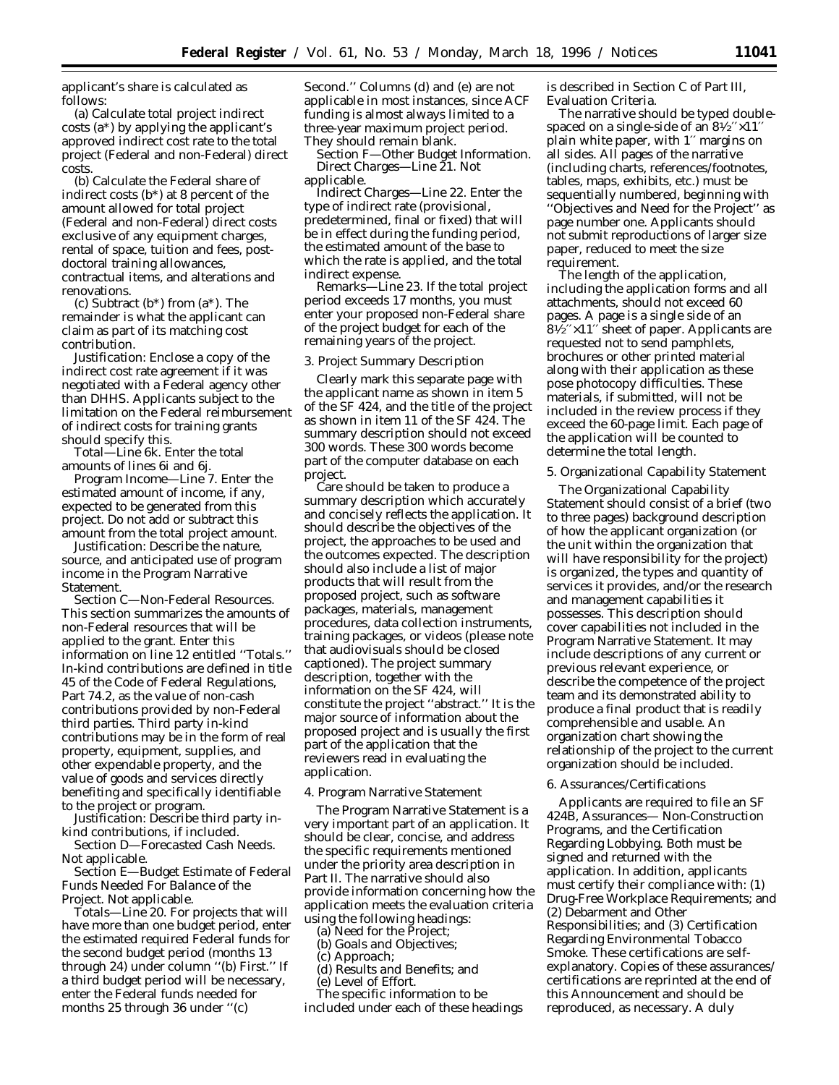applicant's share is calculated as follows:

(a) Calculate total project indirect costs (a\*) by applying the applicant's approved indirect cost rate to the total project (Federal and non-Federal) direct costs.

(b) Calculate the Federal share of indirect costs (b\*) at 8 percent of the amount allowed for total project (Federal and non-Federal) direct costs exclusive of any equipment charges, rental of space, tuition and fees, postdoctoral training allowances, contractual items, and alterations and renovations.

(c) Subtract  $(b^*)$  from  $(a^*)$ . The remainder is what the applicant can claim as part of its matching cost contribution.

*Justification:* Enclose a copy of the indirect cost rate agreement if it was negotiated with a Federal agency other than DHHS. Applicants subject to the limitation on the Federal reimbursement of indirect costs for training grants should specify this.

*Total—Line 6k.* Enter the total amounts of lines 6i and 6j.

*Program Income—Line 7.* Enter the estimated amount of income, if any, expected to be generated from this project. Do not add or subtract this amount from the total project amount.

*Justification:* Describe the nature, source, and anticipated use of program income in the Program Narrative Statement.

*Section C—Non-Federal Resources.* This section summarizes the amounts of non-Federal resources that will be applied to the grant. Enter this information on line 12 entitled ''Totals.'' In-kind contributions are defined in title 45 of the Code of Federal Regulations, Part 74.2, as the value of non-cash contributions provided by non-Federal third parties. Third party in-kind contributions may be in the form of real property, equipment, supplies, and other expendable property, and the value of goods and services directly benefiting and specifically identifiable to the project or program.

*Justification:* Describe third party inkind contributions, if included.

*Section D—Forecasted Cash Needs.* Not applicable.

*Section E—Budget Estimate of Federal Funds Needed For Balance of the Project.* Not applicable.

*Totals—Line 20.* For projects that will have more than one budget period, enter the estimated required *Federal* funds for the second budget period (months 13 through 24) under column ''(b) First.'' If a third budget period will be necessary, enter the Federal funds needed for months 25 through 36 under ''(c)

Second.'' Columns (d) and (e) are not applicable in most instances, since ACF funding is almost always limited to a three-year maximum project period. They should remain blank.

*Section F—Other Budget Information. Direct Charges—Line 21.* Not applicable.

*Indirect Charges—Line 22.* Enter the type of indirect rate (provisional, predetermined, final or fixed) that will be in effect during the funding period, the estimated amount of the base to which the rate is applied, and the total indirect expense.

*Remarks—Line 23.* If the total project period exceeds 17 months, you must enter your proposed non-Federal share of the project budget for each of the remaining years of the project.

# 3. Project Summary Description

Clearly mark this separate page with the applicant name as shown in item 5 of the SF 424, and the title of the project as shown in item 11 of the SF 424. The summary description should not exceed 300 words. These 300 words become part of the computer database on each project.

Care should be taken to produce a summary description which accurately and concisely reflects the application. It should describe the objectives of the project, the approaches to be used and the outcomes expected. The description should also include a list of major products that will result from the proposed project, such as software packages, materials, management procedures, data collection instruments, training packages, or videos (please note that audiovisuals should be closed captioned). The project summary description, together with the information on the SF 424, will constitute the project ''abstract.'' It is the major source of information about the proposed project and is usually the first part of the application that the reviewers read in evaluating the application.

# 4. Program Narrative Statement

The Program Narrative Statement is a very important part of an application. It should be clear, concise, and address the specific requirements mentioned under the priority area description in Part II. The narrative should also provide information concerning how the application meets the evaluation criteria using the following headings:

(a) *Need for the Project*;

(b) *Goals and Objectives*;

(c) *Approach*;

(d) *Results and Benefits*; and

(e) *Level of Effort*.

The specific information to be included under each of these headings is described in Section C of Part III, Evaluation Criteria.

The narrative should be typed doublespaced on a single-side of an 81⁄2′′×11′′ plain white paper, with 1′′ margins on all sides. All pages of the narrative (including charts, references/footnotes, tables, maps, exhibits, etc.) must be sequentially numbered, beginning with ''Objectives and Need for the Project'' as page number one. Applicants should not submit reproductions of larger size paper, reduced to meet the size requirement.

The length of the application, including the application forms and all attachments, should not exceed 60 pages. A page is a single side of an 81⁄2′′×11′′ sheet of paper. Applicants are requested not to send pamphlets, brochures or other printed material along with their application as these pose photocopy difficulties. These materials, if submitted, will not be included in the review process if they exceed the 60-page limit. Each page of the application will be counted to determine the total length.

# 5. Organizational Capability Statement

The Organizational Capability Statement should consist of a brief (two to three pages) background description of how the applicant organization (or the unit within the organization that will have responsibility for the project) is organized, the types and quantity of services it provides, and/or the research and management capabilities it possesses. This description should cover capabilities not included in the Program Narrative Statement. It may include descriptions of any current or previous relevant experience, or describe the competence of the project team and its demonstrated ability to produce a final product that is readily comprehensible and usable. An organization chart showing the relationship of the project to the current organization should be included.

# 6. Assurances/Certifications

Applicants are required to file an SF 424B, Assurances— Non-Construction Programs, and the Certification Regarding Lobbying. Both must be signed and returned with the application. In addition, applicants must certify their compliance with: (1) Drug-Free Workplace Requirements; and (2) Debarment and Other Responsibilities; and (3) Certification Regarding Environmental Tobacco Smoke. These certifications are selfexplanatory. Copies of these assurances/ certifications are reprinted at the end of this Announcement and should be reproduced, as necessary. A duly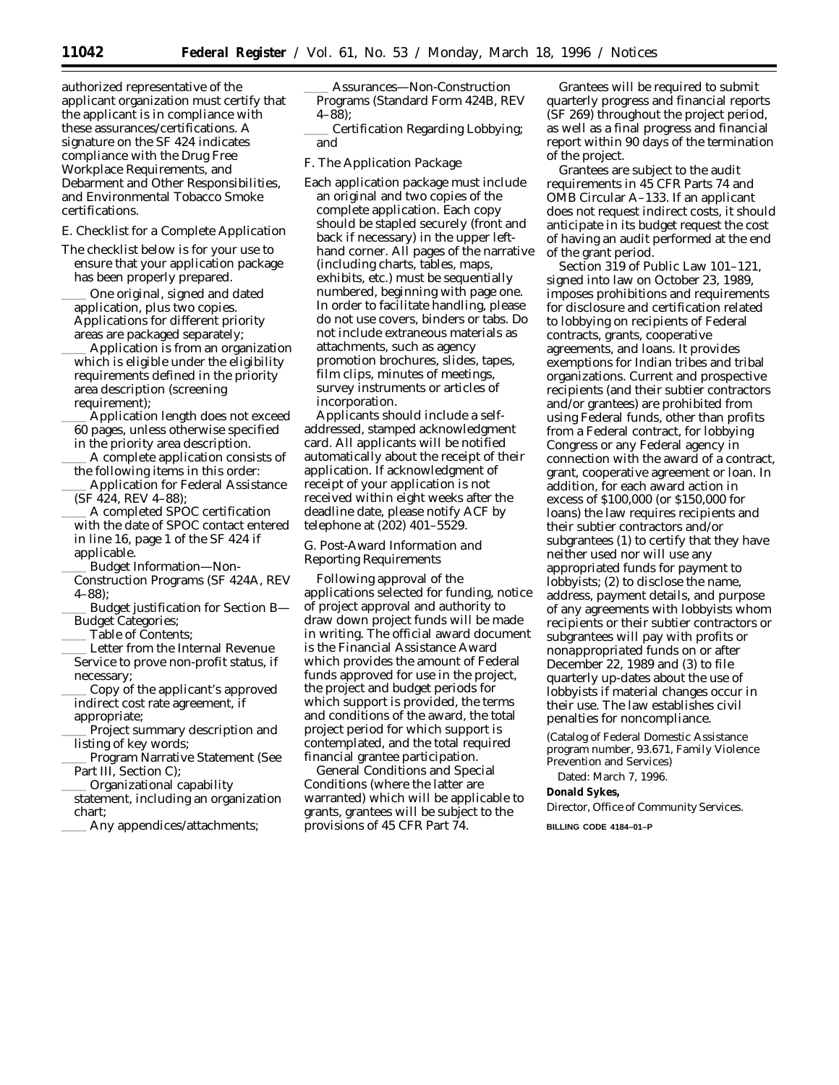authorized representative of the applicant organization must certify that the applicant is in compliance with these assurances/certifications. A signature on the SF 424 indicates compliance with the Drug Free Workplace Requirements, and Debarment and Other Responsibilities, and Environmental Tobacco Smoke certifications.

# *E. Checklist for a Complete Application*

- The checklist below is for your use to ensure that your application package has been properly prepared.
- One original, signed and dated application, plus two copies. Applications for different priority areas are packaged separately;
- Application is from an organization which is eligible under the eligibility requirements defined in the priority area description (screening requirement);
- Application length does not exceed 60 pages, unless otherwise specified in the priority area description.
- A complete application consists of the following items in this order:
- Application for Federal Assistance (SF 424, REV 4–88);
- A completed SPOC certification with the date of SPOC contact entered in line 16, page 1 of the SF 424 if applicable.
- Budget Information—Non-
- Construction Programs (SF 424A, REV 4–88);
- Budget justification for Section B-Budget Categories;

Table of Contents;

- Letter from the Internal Revenue Service to prove non-profit status, if necessary;
- Copy of the applicant's approved indirect cost rate agreement, if appropriate;
- Project summary description and listing of key words;
- Program Narrative Statement (See Part III, Section C);
- Organizational capability statement, including an organization chart;
- Any appendices/attachments;

Assurances—Non-Construction Programs (Standard Form 424B, REV 4–88);

**Certification Regarding Lobbying;** and

# *F. The Application Package*

Each application package must include an original and two copies of the complete application. Each copy should be stapled securely (front and back if necessary) in the upper lefthand corner. All pages of the narrative (including charts, tables, maps, exhibits, etc.) must be sequentially numbered, beginning with page one. In order to facilitate handling, please do not use covers, binders or tabs. Do not include extraneous materials as attachments, such as agency promotion brochures, slides, tapes, film clips, minutes of meetings, survey instruments or articles of incorporation.

Applicants should include a selfaddressed, stamped acknowledgment card. All applicants will be notified automatically about the receipt of their application. If acknowledgment of receipt of your application is not received within eight weeks after the deadline date, please notify ACF by telephone at (202) 401–5529.

# *G. Post-Award Information and Reporting Requirements*

Following approval of the applications selected for funding, notice of project approval and authority to draw down project funds will be made in writing. The official award document is the Financial Assistance Award which provides the amount of Federal funds approved for use in the project, the project and budget periods for which support is provided, the terms and conditions of the award, the total project period for which support is contemplated, and the total required financial grantee participation.

General Conditions and Special Conditions (where the latter are warranted) which will be applicable to grants, grantees will be subject to the provisions of 45 CFR Part 74.

Grantees will be required to submit quarterly progress and financial reports (SF 269) throughout the project period, as well as a final progress and financial report within 90 days of the termination of the project.

Grantees are subject to the audit requirements in 45 CFR Parts 74 and OMB Circular A–133. If an applicant does not request indirect costs, it should anticipate in its budget request the cost of having an audit performed at the end of the grant period.

Section 319 of Public Law 101–121, signed into law on October 23, 1989, imposes prohibitions and requirements for disclosure and certification related to lobbying on recipients of Federal contracts, grants, cooperative agreements, and loans. It provides exemptions for Indian tribes and tribal organizations. Current and prospective recipients (and their subtier contractors and/or grantees) are prohibited from using Federal funds, other than profits from a Federal contract, for lobbying Congress or any Federal agency in connection with the award of a contract, grant, cooperative agreement or loan. In addition, for each award action in excess of \$100,000 (or \$150,000 for loans) the law requires recipients and their subtier contractors and/or subgrantees (1) to certify that they have neither used nor will use any appropriated funds for payment to lobbyists; (2) to disclose the name, address, payment details, and purpose of any agreements with lobbyists whom recipients or their subtier contractors or subgrantees will pay with profits or *nonappropriated* funds on or after December 22, 1989 and (3) to file quarterly up-dates about the use of lobbyists if material changes occur in their use. The law establishes civil penalties for noncompliance.

(Catalog of Federal Domestic Assistance program number, 93.671, Family Violence Prevention and Services)

Dated: March 7, 1996.

**Donald Sykes,**

*Director, Office of Community Services.*

**BILLING CODE 4184–01–P**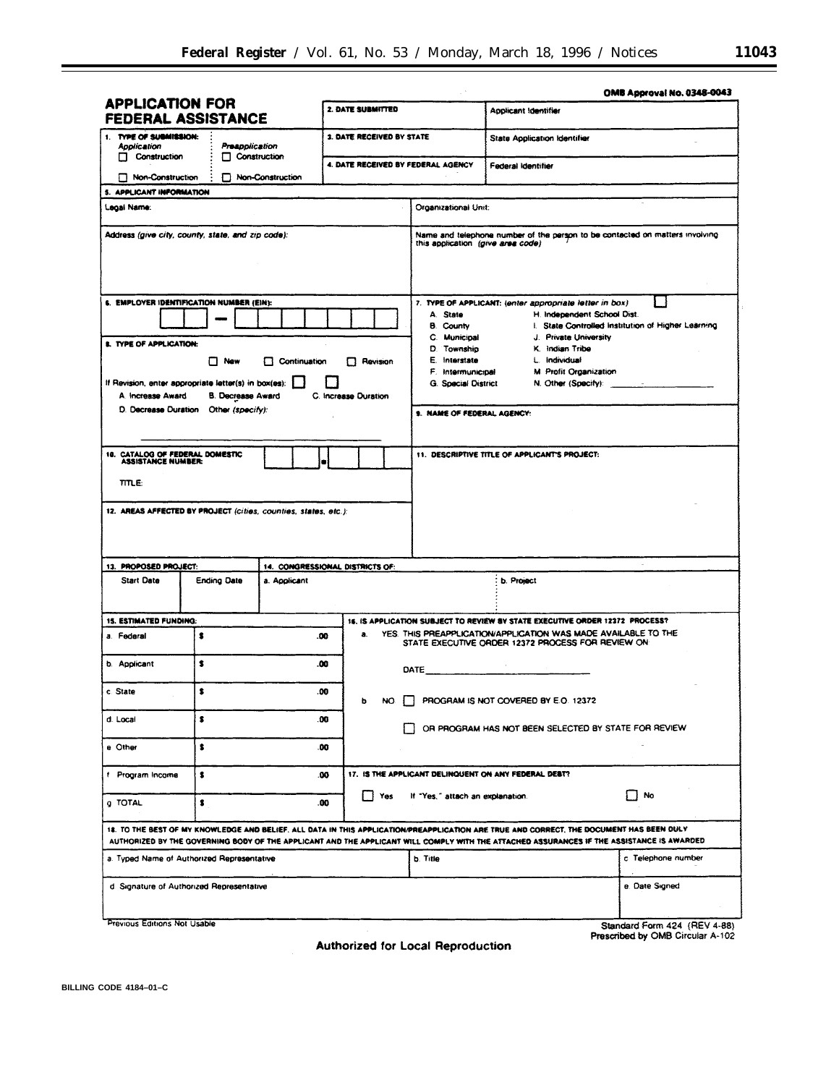|                                                                                                                                                                                                                                                                                       |                                    |                                                                  |                                                                     | OMB Approval No. 0348-0043                                                                                           |  |
|---------------------------------------------------------------------------------------------------------------------------------------------------------------------------------------------------------------------------------------------------------------------------------------|------------------------------------|------------------------------------------------------------------|---------------------------------------------------------------------|----------------------------------------------------------------------------------------------------------------------|--|
| <b>APPLICATION FOR</b><br>FEDERAL ASSISTANCE                                                                                                                                                                                                                                          |                                    | 2. DATE SUBMITTED                                                |                                                                     | Applicant Identifier                                                                                                 |  |
| 1. TYPE OF SUBMISSION:<br><b>Application</b><br>□ Construction                                                                                                                                                                                                                        | Preapplication<br>□ Construction   | 3. DATE RECEIVED BY STATE                                        |                                                                     | <b>State Application Identifier</b>                                                                                  |  |
|                                                                                                                                                                                                                                                                                       |                                    | 4. DATE RECEIVED BY FEDERAL AGENCY                               |                                                                     | Federal Identifier                                                                                                   |  |
| Non-Construction<br>5. APPLICANT INFORMATION                                                                                                                                                                                                                                          | Non-Construction                   |                                                                  |                                                                     |                                                                                                                      |  |
| Legal Name:                                                                                                                                                                                                                                                                           |                                    |                                                                  | Organizational Unit:                                                |                                                                                                                      |  |
| Address (give city, county, state, and zip code):                                                                                                                                                                                                                                     |                                    |                                                                  | this application (give area code)                                   | Name and telephone number of the person to be contacted on matters involving                                         |  |
| 6. EMPLOYER IDENTIFICATION NUMBER (EIN):                                                                                                                                                                                                                                              |                                    |                                                                  | A. State                                                            | 7. TYPE OF APPLICANT: (enter appropriate letter in box)<br>H. Independent School Dist.                               |  |
| 8. TYPE OF APPLICATION:                                                                                                                                                                                                                                                               |                                    |                                                                  | <b>B.</b> County<br>C. Municipal<br>D. Township                     | I. State Controlled Institution of Higher Learning<br>J. Private University<br>K. Indian Tribe                       |  |
| $\Box$ New<br>Continuation<br>П<br><b>Revision</b><br>If Revision, enter appropriate letter(s) in box(es):                                                                                                                                                                            |                                    | E. Interstate<br>F. Intermunicipal<br><b>G. Special District</b> | L. Individual<br>M Profit Organization<br>N. Other (Specify): _____ |                                                                                                                      |  |
| A. Increase Award<br><b>B. Decrease Award</b><br>C. Increase Duration                                                                                                                                                                                                                 |                                    |                                                                  |                                                                     |                                                                                                                      |  |
| D. Decrease Duration  Other (specify):<br>9. NAME OF FEDERAL AGENCY:                                                                                                                                                                                                                  |                                    |                                                                  |                                                                     |                                                                                                                      |  |
| 18. CATALOG OF FEDERAL DOMESTIC<br>11. DESCRIPTIVE TITLE OF APPLICANT'S PROJECT:<br><b>ASSISTANCE NUMBER:</b><br>TITLE:<br>12. AREAS AFFECTED BY PROJECT (cities, counties, states, etc.):                                                                                            |                                    |                                                                  |                                                                     |                                                                                                                      |  |
| 13. PROPOSED PROJECT:                                                                                                                                                                                                                                                                 |                                    | 14. CONGRESSIONAL DISTRICTS OF:                                  |                                                                     |                                                                                                                      |  |
| <b>Start Date</b>                                                                                                                                                                                                                                                                     | <b>Ending Date</b><br>a. Applicant |                                                                  |                                                                     | b. Project                                                                                                           |  |
| <b>15. ESTIMATED FUNDING:</b>                                                                                                                                                                                                                                                         |                                    |                                                                  |                                                                     | 16. IS APPLICATION SUBJECT TO REVIEW BY STATE EXECUTIVE ORDER 12372 PROCESS?                                         |  |
| a. Federal<br>\$                                                                                                                                                                                                                                                                      |                                    | a.<br>.00                                                        |                                                                     | YES. THIS PREAPPLICATION/APPLICATION WAS MADE AVAILABLE TO THE<br>STATE EXECUTIVE ORDER 12372 PROCESS FOR REVIEW ON: |  |
| \$<br><b>b.</b> Applicant                                                                                                                                                                                                                                                             |                                    | .00                                                              | <b>DATE Example</b>                                                 |                                                                                                                      |  |
| \$<br>c. State                                                                                                                                                                                                                                                                        |                                    | .00<br>NO.<br>ь                                                  | PROGRAM IS NOT COVERED BY E.O. 12372                                |                                                                                                                      |  |
| \$<br>d. Local                                                                                                                                                                                                                                                                        |                                    | .00                                                              | OR PROGRAM HAS NOT BEEN SELECTED BY STATE FOR REVIEW                |                                                                                                                      |  |
| e Other<br>\$                                                                                                                                                                                                                                                                         |                                    | .00                                                              |                                                                     |                                                                                                                      |  |
| \$<br>f Program Income                                                                                                                                                                                                                                                                |                                    | .00<br>$\blacksquare$<br>Yes                                     | If "Yes," attach an explanation.                                    | 17. IS THE APPLICANT DELINQUENT ON ANY FEDERAL DEBT?<br>No                                                           |  |
| 0 TOTAL<br>\$                                                                                                                                                                                                                                                                         |                                    | .00                                                              |                                                                     |                                                                                                                      |  |
| 18. TO THE BEST OF MY KNOWLEDGE AND BELIEF, ALL DATA IN THIS APPLICATION/PREAPPLICATION ARE TRUE AND CORRECT, THE DOCUMENT HAS BEEN OULY<br>AUTHORIZED BY THE GOVERNING BODY OF THE APPLICANT AND THE APPLICANT WILL COMPLY WITH THE ATTACHED ASSURANCES IF THE ASSISTANCE IS AWARDED |                                    |                                                                  |                                                                     |                                                                                                                      |  |
| a. Typed Name of Authorized Representative                                                                                                                                                                                                                                            |                                    |                                                                  | b. Title                                                            | c Telephone number                                                                                                   |  |
| d. Signature of Authorized Representative                                                                                                                                                                                                                                             |                                    |                                                                  |                                                                     | e. Date Signed                                                                                                       |  |
| Previous Editions Not Usable                                                                                                                                                                                                                                                          |                                    |                                                                  |                                                                     | Standard Form 424 (REV 4-88)<br>Prescribed by OMB Circular A-102                                                     |  |

**Authorized for Local Reproduction**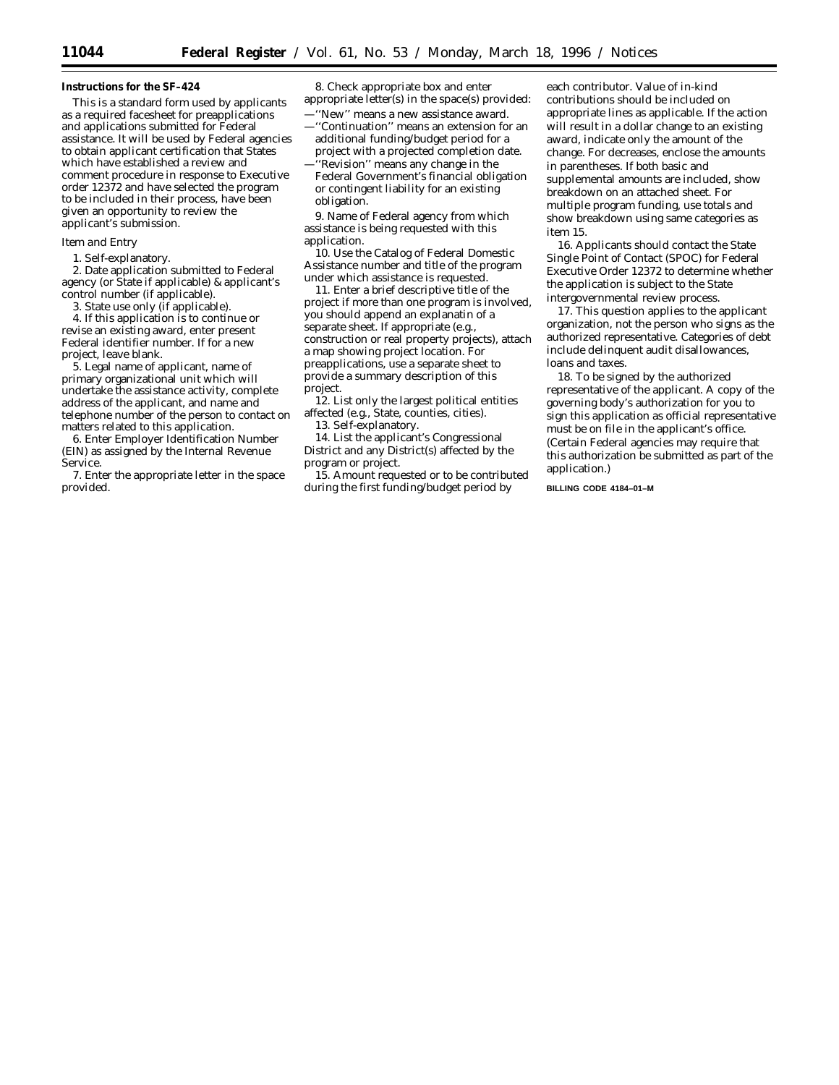#### **Instructions for the SF–424**

This is a standard form used by applicants as a required facesheet for preapplications and applications submitted for Federal assistance. It will be used by Federal agencies to obtain applicant certification that States which have established a review and comment procedure in response to Executive order 12372 and have selected the program to be included in their process, have been given an opportunity to review the applicant's submission.

#### *Item and Entry*

1. Self-explanatory.

2. Date application submitted to Federal agency (or State if applicable) & applicant's control number (if applicable).

3. State use only (if applicable).

4. If this application is to continue or revise an existing award, enter present Federal identifier number. If for a new project, leave blank.

5. Legal name of applicant, name of primary organizational unit which will undertake the assistance activity, complete address of the applicant, and name and telephone number of the person to contact on matters related to this application.

6. Enter Employer Identification Number (EIN) as assigned by the Internal Revenue Service.

7. Enter the appropriate letter in the space provided.

8. Check appropriate box and enter appropriate letter(s) in the space(s) provided:

- —''New'' means a new assistance award. —''Continuation'' means an extension for an additional funding/budget period for a project with a projected completion date.
- —''Revision'' means any change in the Federal Government's financial obligation or contingent liability for an existing obligation.

9. Name of Federal agency from which assistance is being requested with this application.

10. Use the Catalog of Federal Domestic Assistance number and title of the program under which assistance is requested.

11. Enter a brief descriptive title of the project if more than one program is involved, you should append an explanatin of a separate sheet. If appropriate (e.g., construction or real property projects), attach a map showing project location. For preapplications, use a separate sheet to provide a summary description of this project.

12. List only the largest political entities affected (e.g., State, counties, cities). 13. Self-explanatory.

14. List the applicant's Congressional District and any District(s) affected by the program or project.

15. Amount requested or to be contributed during the first funding/budget period by

each contributor. Value of in-kind contributions should be included on appropriate lines as applicable. If the action will result in a dollar change to an existing award, indicate only the amount of the change. For decreases, enclose the amounts in parentheses. If both basic and supplemental amounts are included, show breakdown on an attached sheet. For multiple program funding, use totals and show breakdown using same categories as item 15.

16. Applicants should contact the State Single Point of Contact (SPOC) for Federal Executive Order 12372 to determine whether the application is subject to the State intergovernmental review process.

17. This question applies to the applicant organization, not the person who signs as the authorized representative. Categories of debt include delinquent audit disallowances, loans and taxes.

18. To be signed by the authorized representative of the applicant. A copy of the governing body's authorization for you to sign this application as official representative must be on file in the applicant's office. (Certain Federal agencies may require that this authorization be submitted as part of the application.)

**BILLING CODE 4184–01–M**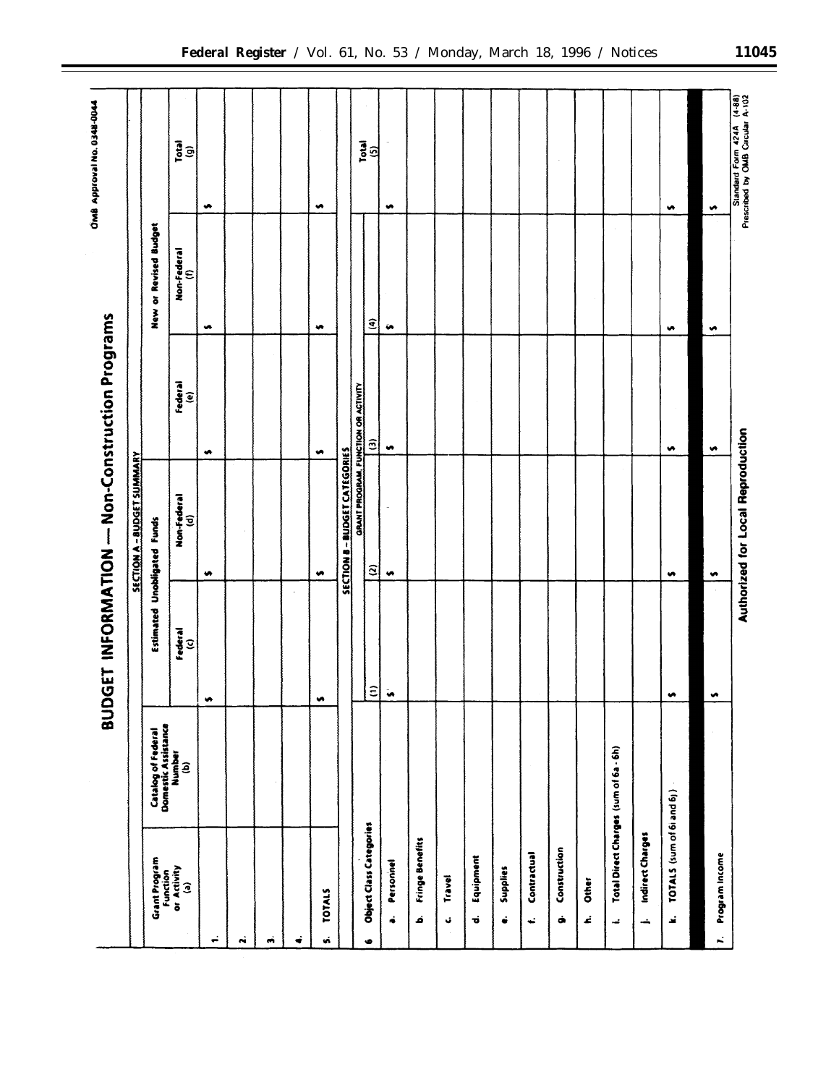| $\mathbf{\widehat{c}}$<br>÷<br>w<br>m<br>Federal<br>(c)<br>디<br>Ÿ,<br>ø,<br>$\bullet$<br>w<br>Catalog of Federal<br>Domestic Assistance<br>Number<br>Total Direct Charges (sum of 6a - 6h)<br>ê<br>TOTALS (sum of 6i and 6j)<br><b>Object Class Categories</b><br>Indirect Charges<br>Fringe Benefits<br>Construction<br>Contractual<br>Equipment<br>Grant Program<br>Personnel<br>Function<br>or Activity<br>(a)<br>Supplies<br>Travel<br>Other<br><b>TOTALS</b><br>á<br>ż<br>ó<br>á<br>ė<br>ف<br>÷.<br>Ý<br>ъ,<br>∸<br>ä,<br>÷<br>$\vec{\mathbf{N}}$<br>m<br>¥ń. | SECTION A - BUDGET SUMMARY          |                                      |                        |               |
|--------------------------------------------------------------------------------------------------------------------------------------------------------------------------------------------------------------------------------------------------------------------------------------------------------------------------------------------------------------------------------------------------------------------------------------------------------------------------------------------------------------------------------------------------------------------|-------------------------------------|--------------------------------------|------------------------|---------------|
|                                                                                                                                                                                                                                                                                                                                                                                                                                                                                                                                                                    | Estimated Unobligated Funds         |                                      | New or Revised Budget  |               |
|                                                                                                                                                                                                                                                                                                                                                                                                                                                                                                                                                                    | Non-Federal<br>(d)                  | Federal<br>(e)                       | Non-Federal<br>(f)     | $\frac{1}{9}$ |
|                                                                                                                                                                                                                                                                                                                                                                                                                                                                                                                                                                    |                                     | $\bullet$                            | w                      | ٠             |
|                                                                                                                                                                                                                                                                                                                                                                                                                                                                                                                                                                    |                                     |                                      |                        |               |
|                                                                                                                                                                                                                                                                                                                                                                                                                                                                                                                                                                    |                                     |                                      |                        |               |
|                                                                                                                                                                                                                                                                                                                                                                                                                                                                                                                                                                    |                                     |                                      |                        |               |
|                                                                                                                                                                                                                                                                                                                                                                                                                                                                                                                                                                    |                                     | ÷                                    | w                      | w             |
|                                                                                                                                                                                                                                                                                                                                                                                                                                                                                                                                                                    | <b>SECTION B-BUDGET CATEGORIES</b>  |                                      |                        |               |
|                                                                                                                                                                                                                                                                                                                                                                                                                                                                                                                                                                    | GRANT PROGRAM, FUNCTION OR ACTIVITY | $\left  \widehat{\mathbf{c}}\right $ | $\widehat{\mathbf{E}}$ | Total<br>15)  |
|                                                                                                                                                                                                                                                                                                                                                                                                                                                                                                                                                                    |                                     | w                                    | Ÿ,                     | w             |
|                                                                                                                                                                                                                                                                                                                                                                                                                                                                                                                                                                    |                                     |                                      |                        |               |
|                                                                                                                                                                                                                                                                                                                                                                                                                                                                                                                                                                    |                                     |                                      |                        |               |
|                                                                                                                                                                                                                                                                                                                                                                                                                                                                                                                                                                    |                                     |                                      |                        |               |
|                                                                                                                                                                                                                                                                                                                                                                                                                                                                                                                                                                    |                                     |                                      |                        |               |
|                                                                                                                                                                                                                                                                                                                                                                                                                                                                                                                                                                    |                                     |                                      |                        |               |
|                                                                                                                                                                                                                                                                                                                                                                                                                                                                                                                                                                    |                                     |                                      |                        |               |
|                                                                                                                                                                                                                                                                                                                                                                                                                                                                                                                                                                    |                                     |                                      |                        |               |
|                                                                                                                                                                                                                                                                                                                                                                                                                                                                                                                                                                    |                                     |                                      |                        |               |
|                                                                                                                                                                                                                                                                                                                                                                                                                                                                                                                                                                    |                                     |                                      |                        |               |
|                                                                                                                                                                                                                                                                                                                                                                                                                                                                                                                                                                    | u                                   | w                                    | w                      | w             |
| $\bullet$<br>w<br>Program Income                                                                                                                                                                                                                                                                                                                                                                                                                                                                                                                                   |                                     | w                                    | w                      | n             |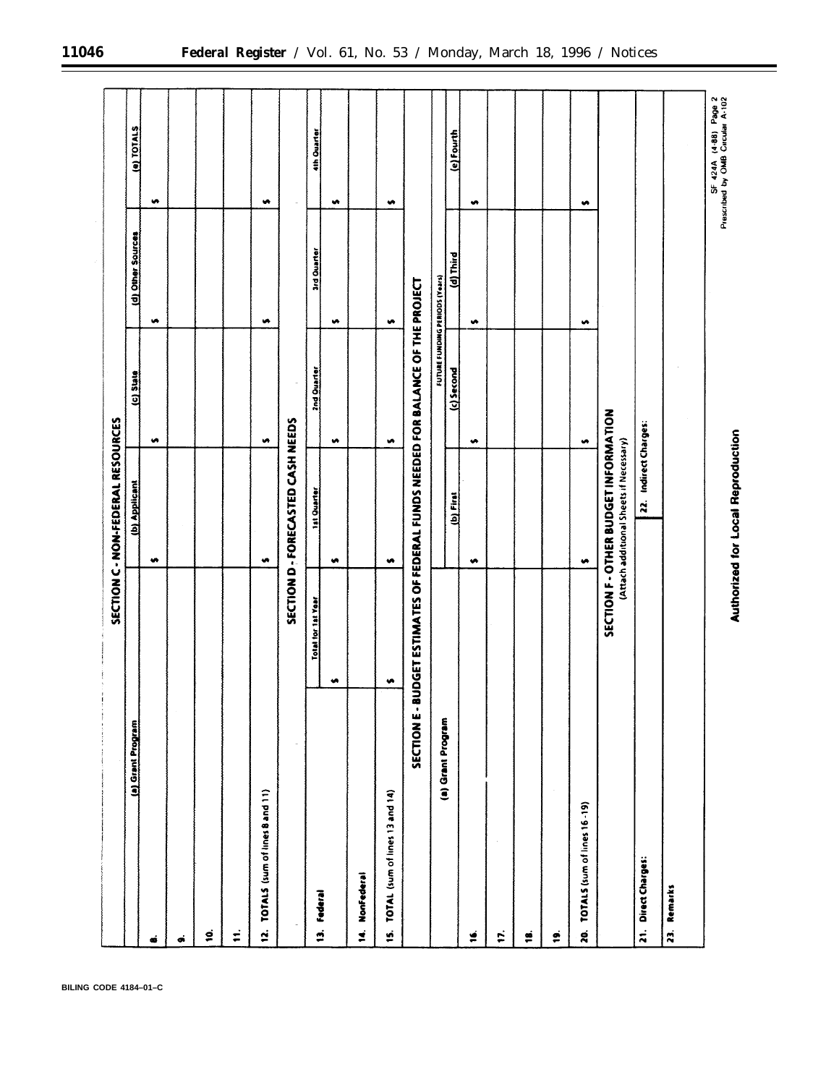|                                    |                                                                    | SECTION C - NON-FEDERAL RESOURCES                                               |              |                                       |                                                           |
|------------------------------------|--------------------------------------------------------------------|---------------------------------------------------------------------------------|--------------|---------------------------------------|-----------------------------------------------------------|
| (a) Grant Program                  |                                                                    | <b>(b) Applicant</b>                                                            | <b>State</b> | (d) Other Sources                     | (a) TOTALS                                                |
| ø                                  |                                                                    | $\bullet$                                                                       | w            | w                                     | w                                                         |
| $\dot{\bullet}$                    |                                                                    |                                                                                 |              |                                       |                                                           |
| $\dot{a}$                          |                                                                    |                                                                                 |              |                                       |                                                           |
| $\ddot{ }$                         |                                                                    |                                                                                 |              |                                       |                                                           |
| 12. TOTALS (sum of lines 8 and 11) |                                                                    | w                                                                               | ÷            | w                                     | w                                                         |
|                                    |                                                                    | SECTION D-FORECASTED CASH NEEDS                                                 |              |                                       |                                                           |
| 13. Federal                        | Total for 1st Year                                                 | <b>Ist Quarter</b>                                                              | 2nd Quarter  | <b>3rd Quarter</b>                    | 4th Quarter                                               |
|                                    | ₩                                                                  | ÷                                                                               | w            | w                                     | w                                                         |
| 14. NonFederal                     |                                                                    |                                                                                 |              |                                       |                                                           |
| 15. TOTAL (sum of lines 13 and 14) | w                                                                  | w                                                                               | u,           | w                                     | w                                                         |
| SECTION E-BI                       | UDGET ESTIMATES OF FEDERAL FUNDS NEEDED FOR BALANCE OF THE PROJECT |                                                                                 |              |                                       |                                                           |
| (a) Grant Program                  |                                                                    |                                                                                 |              | <b>FUTURE FUNDING PERIODS (Years)</b> |                                                           |
|                                    |                                                                    | (b) First                                                                       | $(c)$ Second | (d) Third                             | (e) Fourth                                                |
| $\ddot{\bullet}$                   |                                                                    | ÷                                                                               | ÷            | $\bullet$                             | w,                                                        |
| $\mathbf{r}$                       |                                                                    |                                                                                 |              |                                       |                                                           |
| $\ddot{\mathbf{e}}$                |                                                                    |                                                                                 |              |                                       |                                                           |
| g                                  |                                                                    |                                                                                 |              |                                       |                                                           |
| TOTALS (sum of lines 16-19)<br>2ó  |                                                                    | <b>M</b>                                                                        | u,           | u                                     | w                                                         |
|                                    |                                                                    | SECTION F - OTHER BUDGET INFORMATION<br>(Attach additional Sheets if Necessary) |              |                                       |                                                           |
| 21. Direct Charges:                |                                                                    | 22. Indirect Charges:                                                           |              |                                       |                                                           |
| Remarks<br>$\ddot{a}$              |                                                                    |                                                                                 |              |                                       |                                                           |
|                                    |                                                                    | Authorized for Local Reproduction                                               |              |                                       | SF 424A (4-88) Page 2<br>Prescribed by OMB Circular A-102 |

÷.

۳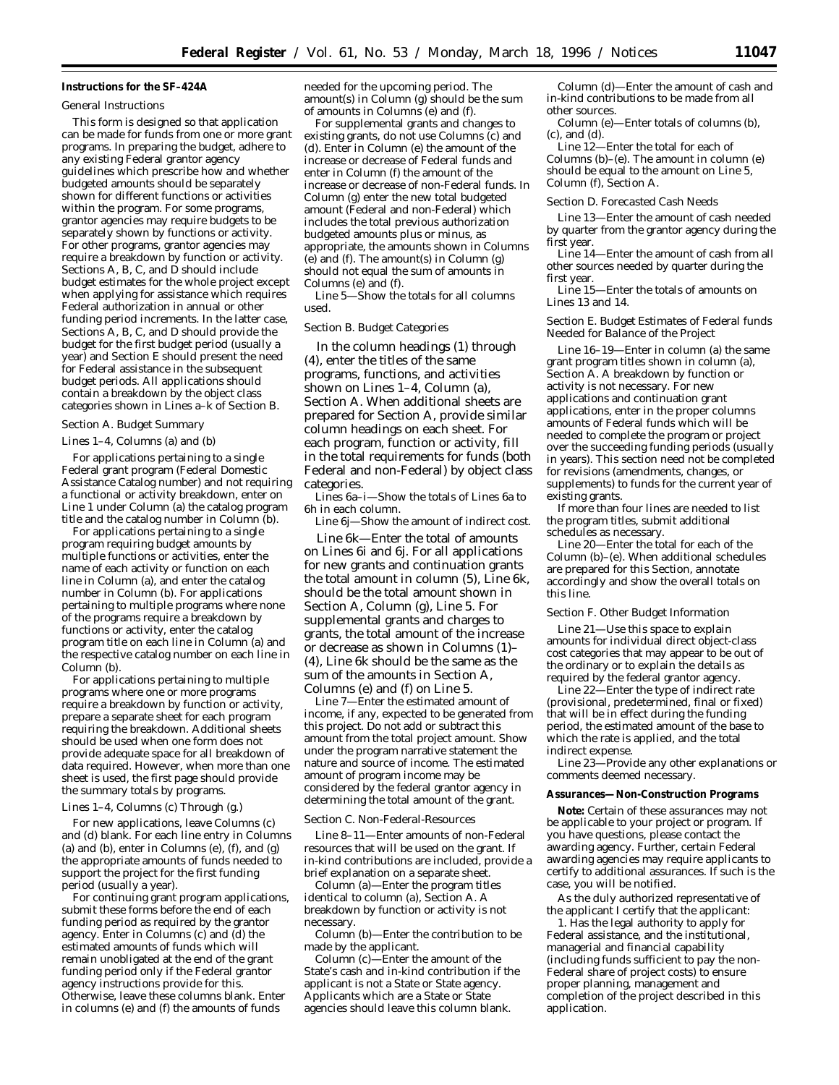#### **Instructions for the SF–424A**

#### *General Instructions*

This form is designed so that application can be made for funds from one or more grant programs. In preparing the budget, adhere to any existing Federal grantor agency guidelines which prescribe how and whether budgeted amounts should be separately shown for different functions or activities within the program. For some programs, grantor agencies may require budgets to be separately shown by functions or activity. For other programs, grantor agencies may require a breakdown by function or activity. Sections A, B, C, and D should include budget estimates for the whole project except when applying for assistance which requires Federal authorization in annual or other funding period increments. In the latter case, Sections A, B, C, and D should provide the budget for the first budget period (usually a year) and Section E should present the need for Federal assistance in the subsequent budget periods. All applications should contain a breakdown by the object class categories shown in Lines a–k of Section B.

#### *Section A. Budget Summary*

#### Lines 1–4, Columns (a) and (b)

For applications pertaining to a single Federal grant program (Federal Domestic Assistance Catalog number) and not requiring a functional or activity breakdown, enter on Line 1 under Column (a) the catalog program title and the catalog number in Column (b).

For applications pertaining to a single program requiring budget amounts by multiple functions or activities, enter the name of each activity or function on each line in Column (a), and enter the catalog number in Column (b). For applications pertaining to multiple programs where none of the programs require a breakdown by functions or activity, enter the catalog program title on each line in Column (a) and the respective catalog number on each line in Column (b).

For applications pertaining to multiple programs where one or more programs require a breakdown by function or activity, prepare a separate sheet for each program requiring the breakdown. Additional sheets should be used when one form does not provide adequate space for all breakdown of data required. However, when more than one sheet is used, the first page should provide the summary totals by programs.

# Lines 1–4, Columns (c) Through (g.)

For new applications, leave Columns (c) and (d) blank. For each line entry in Columns (a) and (b), enter in Columns (e), (f), and (g) the appropriate amounts of funds needed to support the project for the first funding period (usually a year).

For continuing grant program applications, submit these forms before the end of each funding period as required by the grantor agency. Enter in Columns (c) and (d) the estimated amounts of funds which will remain unobligated at the end of the grant funding period only if the Federal grantor agency instructions provide for this. Otherwise, leave these columns blank. Enter in columns (e) and (f) the amounts of funds

needed for the upcoming period. The amount(s) in Column (g) should be the sum of amounts in Columns (e) and (f).

For supplemental grants and changes to existing grants, do not use Columns (c) and (d). Enter in Column (e) the amount of the increase or decrease of Federal funds and enter in Column (f) the amount of the increase or decrease of non-Federal funds. In Column (g) enter the new total budgeted amount (Federal and non-Federal) which includes the total previous authorization budgeted amounts plus or minus, as appropriate, the amounts shown in Columns (e) and (f). The amount(s) in Column (g) should not equal the sum of amounts in Columns (e) and (f).

Line 5—Show the totals for all columns used.

#### *Section B. Budget Categories*

In the column headings (1) through (4), enter the titles of the same programs, functions, and activities shown on Lines 1–4, Column (a), Section A. When additional sheets are prepared for Section A, provide similar column headings on each sheet. For each program, function or activity, fill in the total requirements for funds (both Federal and non-Federal) by object class categories.

Lines 6a–i—Show the totals of Lines 6a to 6h in each column.

Line 6j—Show the amount of indirect cost.

Line 6k—Enter the total of amounts on Lines 6i and 6j. For all applications for new grants and continuation grants the total amount in column (5), Line 6k, should be the total amount shown in Section A, Column (g), Line 5. For supplemental grants and charges to grants, the total amount of the increase or decrease as shown in Columns (1)– (4), Line 6k should be the same as the sum of the amounts in Section A, Columns (e) and (f) on Line 5.

Line 7—Enter the estimated amount of income, if any, expected to be generated from this project. Do not add or subtract this amount from the total project amount. Show under the program narrative statement the nature and source of income. The estimated amount of program income may be considered by the federal grantor agency in determining the total amount of the grant.

#### *Section C. Non-Federal-Resources*

Line 8–11—Enter amounts of non-Federal resources that will be used on the grant. If in-kind contributions are included, provide a brief explanation on a separate sheet.

Column (a)—Enter the program titles identical to column (a), Section A. A breakdown by function or activity is not necessary.

Column (b)—Enter the contribution to be made by the applicant.

Column (c)—Enter the amount of the State's cash and in-kind contribution if the applicant is not a State or State agency. Applicants which are a State or State agencies should leave this column blank.

Column (d)—Enter the amount of cash and in-kind contributions to be made from all other sources.

Column (e)—Enter totals of columns (b), (c), and (d).

Line 12—Enter the total for each of Columns (b)–(e). The amount in column (e) should be equal to the amount on Line 5, Column (f), Section A.

# *Section D. Forecasted Cash Needs*

Line 13—Enter the amount of cash needed by quarter from the grantor agency during the first year.

Line 14—Enter the amount of cash from all other sources needed by quarter during the first year.

Line 15—Enter the totals of amounts on Lines 13 and 14.

# *Section E. Budget Estimates of Federal funds Needed for Balance of the Project*

Line 16–19—Enter in column (a) the same grant program titles shown in column (a), Section A. A breakdown by function or activity is not necessary. For new applications and continuation grant applications, enter in the proper columns amounts of Federal funds which will be needed to complete the program or project over the succeeding funding periods (usually in years). This section need not be completed for revisions (amendments, changes, or supplements) to funds for the current year of existing grants.

If more than four lines are needed to list the program titles, submit additional schedules as necessary.

Line 20—Enter the total for each of the Column (b)–(e). When additional schedules are prepared for this Section, annotate accordingly and show the overall totals on this line.

#### *Section F. Other Budget Information*

Line 21—Use this space to explain amounts for individual direct object-class cost categories that may appear to be out of the ordinary or to explain the details as required by the federal grantor agency.

Line 22—Enter the type of indirect rate (provisional, predetermined, final or fixed) that will be in effect during the funding period, the estimated amount of the base to which the rate is applied, and the total indirect expense.

Line 23—Provide any other explanations or comments deemed necessary.

#### **Assurances—Non-Construction Programs**

**Note:** Certain of these assurances may not be applicable to your project or program. If you have questions, please contact the awarding agency. Further, certain Federal awarding agencies may require applicants to certify to additional assurances. If such is the case, you will be notified.

As the duly authorized representative of the applicant I certify that the applicant:

1. Has the legal authority to apply for Federal assistance, and the institutional, managerial and financial capability (including funds sufficient to pay the non-Federal share of project costs) to ensure proper planning, management and completion of the project described in this application.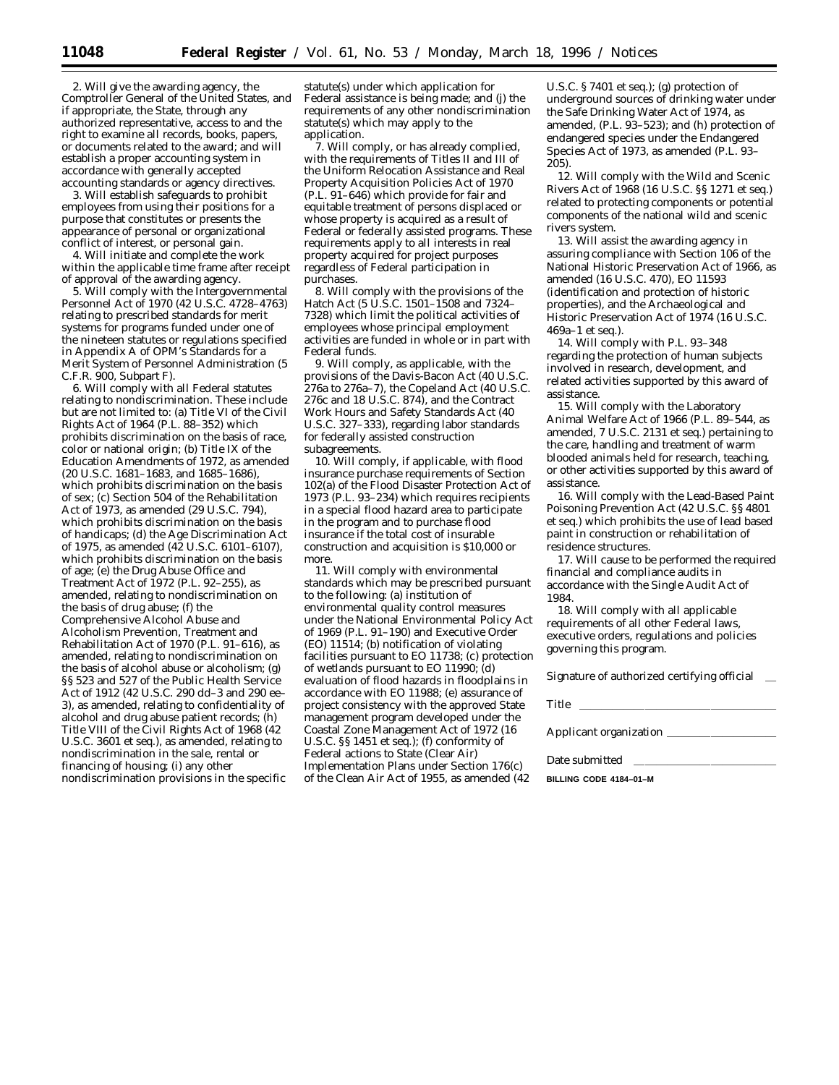2. Will give the awarding agency, the Comptroller General of the United States, and if appropriate, the State, through any authorized representative, access to and the right to examine all records, books, papers, or documents related to the award; and will establish a proper accounting system in accordance with generally accepted accounting standards or agency directives.

3. Will establish safeguards to prohibit employees from using their positions for a purpose that constitutes or presents the appearance of personal or organizational conflict of interest, or personal gain.

4. Will initiate and complete the work within the applicable time frame after receipt of approval of the awarding agency.

5. Will comply with the Intergovernmental Personnel Act of 1970 (42 U.S.C. 4728–4763) relating to prescribed standards for merit systems for programs funded under one of the nineteen statutes or regulations specified in Appendix A of OPM's Standards for a Merit System of Personnel Administration (5 C.F.R. 900, Subpart F).

6. Will comply with all Federal statutes relating to nondiscrimination. These include but are not limited to: (a) Title VI of the Civil Rights Act of 1964 (P.L. 88–352) which prohibits discrimination on the basis of race, color or national origin; (b) Title IX of the Education Amendments of 1972, as amended (20 U.S.C. 1681–1683, and 1685–1686), which prohibits discrimination on the basis of sex; (c) Section 504 of the Rehabilitation Act of 1973, as amended (29 U.S.C. 794), which prohibits discrimination on the basis of handicaps; (d) the Age Discrimination Act of 1975, as amended (42 U.S.C. 6101–6107), which prohibits discrimination on the basis of age; (e) the Drug Abuse Office and Treatment Act of 1972 (P.L. 92–255), as amended, relating to nondiscrimination on the basis of drug abuse; (f) the Comprehensive Alcohol Abuse and Alcoholism Prevention, Treatment and Rehabilitation Act of 1970 (P.L. 91–616), as amended, relating to nondiscrimination on the basis of alcohol abuse or alcoholism; (g) §§ 523 and 527 of the Public Health Service Act of 1912 (42 U.S.C. 290 dd–3 and 290 ee– 3), as amended, relating to confidentiality of alcohol and drug abuse patient records; (h) Title VIII of the Civil Rights Act of 1968 (42 U.S.C. 3601 et seq.), as amended, relating to nondiscrimination in the sale, rental or financing of housing; (i) any other nondiscrimination provisions in the specific

statute(s) under which application for Federal assistance is being made; and (j) the requirements of any other nondiscrimination statute(s) which may apply to the application.

7. Will comply, or has already complied, with the requirements of Titles II and III of the Uniform Relocation Assistance and Real Property Acquisition Policies Act of 1970 (P.L. 91–646) which provide for fair and equitable treatment of persons displaced or whose property is acquired as a result of Federal or federally assisted programs. These requirements apply to all interests in real property acquired for project purposes regardless of Federal participation in purchases.

8. Will comply with the provisions of the Hatch Act (5 U.S.C. 1501–1508 and 7324-7328) which limit the political activities of employees whose principal employment activities are funded in whole or in part with Federal funds.

9. Will comply, as applicable, with the provisions of the Davis-Bacon Act (40 U.S.C. 276a to 276a–7), the Copeland Act (40 U.S.C. 276c and 18 U.S.C. 874), and the Contract Work Hours and Safety Standards Act (40 U.S.C. 327–333), regarding labor standards for federally assisted construction subagreements.

10. Will comply, if applicable, with flood insurance purchase requirements of Section 102(a) of the Flood Disaster Protection Act of 1973 (P.L. 93–234) which requires recipients in a special flood hazard area to participate in the program and to purchase flood insurance if the total cost of insurable construction and acquisition is \$10,000 or more.

11. Will comply with environmental standards which may be prescribed pursuant to the following: (a) institution of environmental quality control measures under the National Environmental Policy Act of 1969 (P.L. 91–190) and Executive Order (EO) 11514; (b) notification of violating facilities pursuant to EO 11738; (c) protection of wetlands pursuant to EO 11990; (d) evaluation of flood hazards in floodplains in accordance with EO 11988; (e) assurance of project consistency with the approved State management program developed under the Coastal Zone Management Act of 1972 (16 U.S.C. §§ 1451 et seq.); (f) conformity of Federal actions to State (Clear Air) Implementation Plans under Section 176(c) of the Clean Air Act of 1955, as amended (42

U.S.C. § 7401 et seq.); (g) protection of underground sources of drinking water under the Safe Drinking Water Act of 1974, as amended, (P.L. 93–523); and (h) protection of endangered species under the Endangered Species Act of 1973, as amended (P.L. 93– 205).

12. Will comply with the Wild and Scenic Rivers Act of 1968 (16 U.S.C. §§ 1271 et seq.) related to protecting components or potential components of the national wild and scenic rivers system.

13. Will assist the awarding agency in assuring compliance with Section 106 of the National Historic Preservation Act of 1966, as amended (16 U.S.C. 470), EO 11593 (identification and protection of historic properties), and the Archaeological and Historic Preservation Act of 1974 (16 U.S.C. 469a–1 et seq.).

14. Will comply with P.L. 93–348 regarding the protection of human subjects involved in research, development, and related activities supported by this award of assistance.

15. Will comply with the Laboratory Animal Welfare Act of 1966 (P.L. 89–544, as amended, 7 U.S.C. 2131 et seq.) pertaining to the care, handling and treatment of warm blooded animals held for research, teaching, or other activities supported by this award of assistance.

16. Will comply with the Lead-Based Paint Poisoning Prevention Act (42 U.S.C. §§ 4801 et seq.) which prohibits the use of lead based paint in construction or rehabilitation of residence structures.

17. Will cause to be performed the required financial and compliance audits in accordance with the Single Audit Act of 1984.

18. Will comply with all applicable requirements of all other Federal laws, executive orders, regulations and policies governing this program.

Signature of authorized certifying official

Title

Applicant organization

Date submitted

**BILLING CODE 4184–01–M**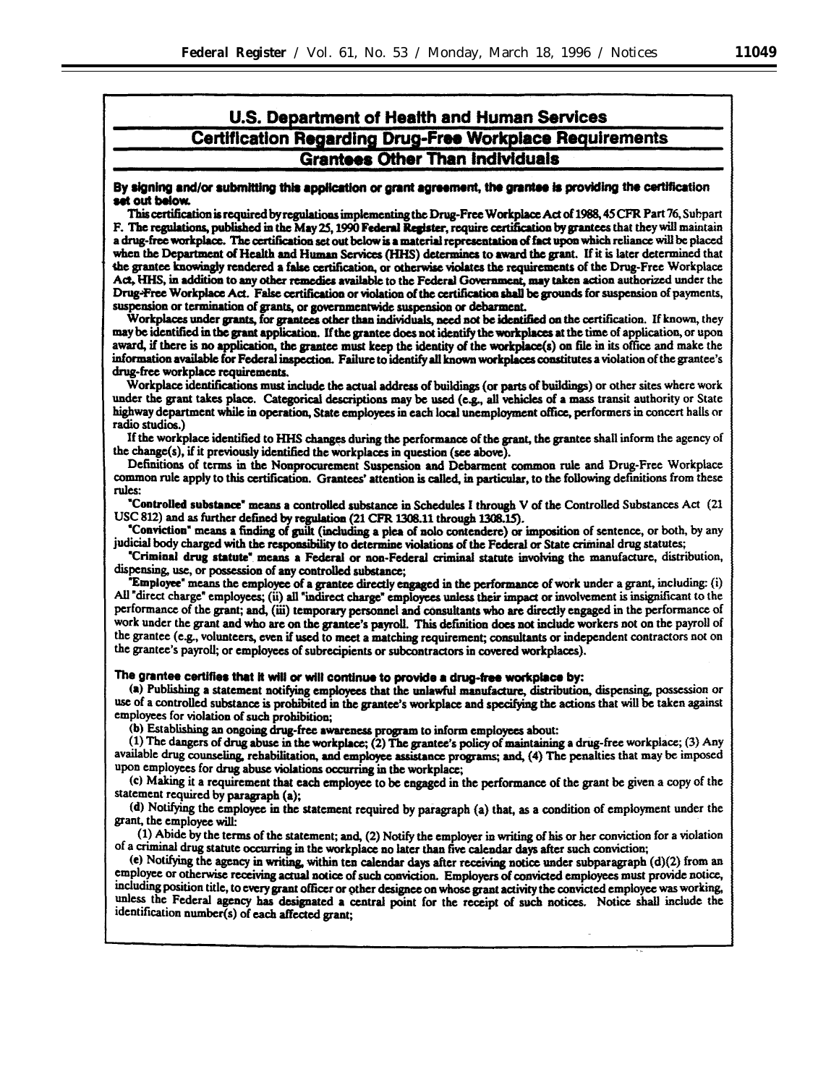# U.S. Department of Health and Human Services **Certification Regarding Drug-Free Workplace Requirements Grantees Other Than Individuals**

# By signing and/or submitting this application or grant agreement, the grantee is providing the certification set out below.

This certification is required by regulations implementing the Drug-Free Workplace Act of 1988, 45 CFR Part 76, Subpart F. The regulations, published in the May 25, 1990 Federal Register, require certification by grantees that they will maintain a drug-free workplace. The certification set out below is a material representation of fact upon which reliance will be placed when the Department of Health and Human Services (HHS) determines to award the grant. If it is later determined that the grantee knowingly rendered a false certification, or otherwise violates the requirements of the Drug-Free Workplace Act, HHS, in addition to any other remedies available to the Federal Government, may taken action authorized under the Drug-Free Workplace Act. False certification or violation of the certification shall be grounds for suspension of payments, suspension or termination of grants, or governmentwide suspension or debarment.

Workplaces under grants, for grantees other than individuals, need not be identified on the certification. If known, they may be identified in the grant application. If the grantee does not identify the workplaces at the time of application, or upon award, if there is no application, the grantee must keep the identity of the workplace(s) on file in its office and make the information available for Federal inspection. Failure to identify all known workplaces constitutes a violation of the grantee's drug-free workplace requirements.

Workplace identifications must include the actual address of buildings (or parts of buildings) or other sites where work under the grant takes place. Categorical descriptions may be used (e.g., all vehicles of a mass transit authority or State highway department while in operation, State employees in each local unemployment office, performers in concert halls or radio studios.)

If the workplace identified to HHS changes during the performance of the grant, the grantee shall inform the agency of the change(s), if it previously identified the workplaces in question (see above).

Definitions of terms in the Nonprocurement Suspension and Debarment common rule and Drug-Free Workplace common rule apply to this certification. Grantees' attention is called, in particular, to the following definitions from these rules:

"Controlled substance" means a controlled substance in Schedules I through V of the Controlled Substances Act (21 USC 812) and as further defined by regulation (21 CFR 1308.11 through 1308.15).

'Conviction" means a finding of guilt (including a plea of nolo contendere) or imposition of sentence, or both, by any judicial body charged with the responsibility to determine violations of the Federal or State criminal drug statutes;

"Criminal drug statute" means a Federal or non-Federal criminal statute involving the manufacture, distribution, dispensing, use, or possession of any controlled substance;

Employee" means the employee of a grantee directly engaged in the performance of work under a grant, including: (i) All "direct charge" employees; (ii) all "indirect charge" employees unless their impact or involvement is insignificant to the performance of the grant; and, (iii) temporary personnel and consultants who are directly engaged in the performance of work under the grant and who are on the grantee's payroll. This definition does not include workers not on the payroll of the grantee (e.g., volunteers, even if used to meet a matching requirement; consultants or independent contractors not on the grantee's payroll; or employees of subrecipients or subcontractors in covered workplaces).

# The grantee certifies that it will or will continue to provide a drug-free workplace by:

(a) Publishing a statement notifying employees that the unlawful manufacture, distribution, dispensing, possession or use of a controlled substance is prohibited in the grantee's workplace and specifying the actions that will be taken against employees for violation of such prohibition;

(b) Establishing an ongoing drug-free awareness program to inform employees about:

(1) The dangers of drug abuse in the workplace; (2) The grantee's policy of maintaining a drug-free workplace; (3) Any available drug counseling, rehabilitation, and employee assistance programs; and, (4) The penalties that may be imposed upon employees for drug abuse violations occurring in the workplace;

(c) Making it a requirement that each employee to be engaged in the performance of the grant be given a copy of the statement required by paragraph (a);

(d) Notifying the employee in the statement required by paragraph (a) that, as a condition of employment under the grant, the employee will:

(1) Abide by the terms of the statement; and, (2) Notify the employer in writing of his or her conviction for a violation of a criminal drug statute occurring in the workplace no later than five calendar days after such conviction;

(e) Notifying the agency in writing, within ten calendar days after receiving notice under subparagraph (d)(2) from an employee or otherwise receiving actual notice of such conviction. Employers of convicted employees must provide notice, including position title, to every grant officer or other designee on whose grant activity the convicted employee was working, unless the Federal agency has designated a central point for the receipt of such notices. Notice shall include the identification number(s) of each affected grant;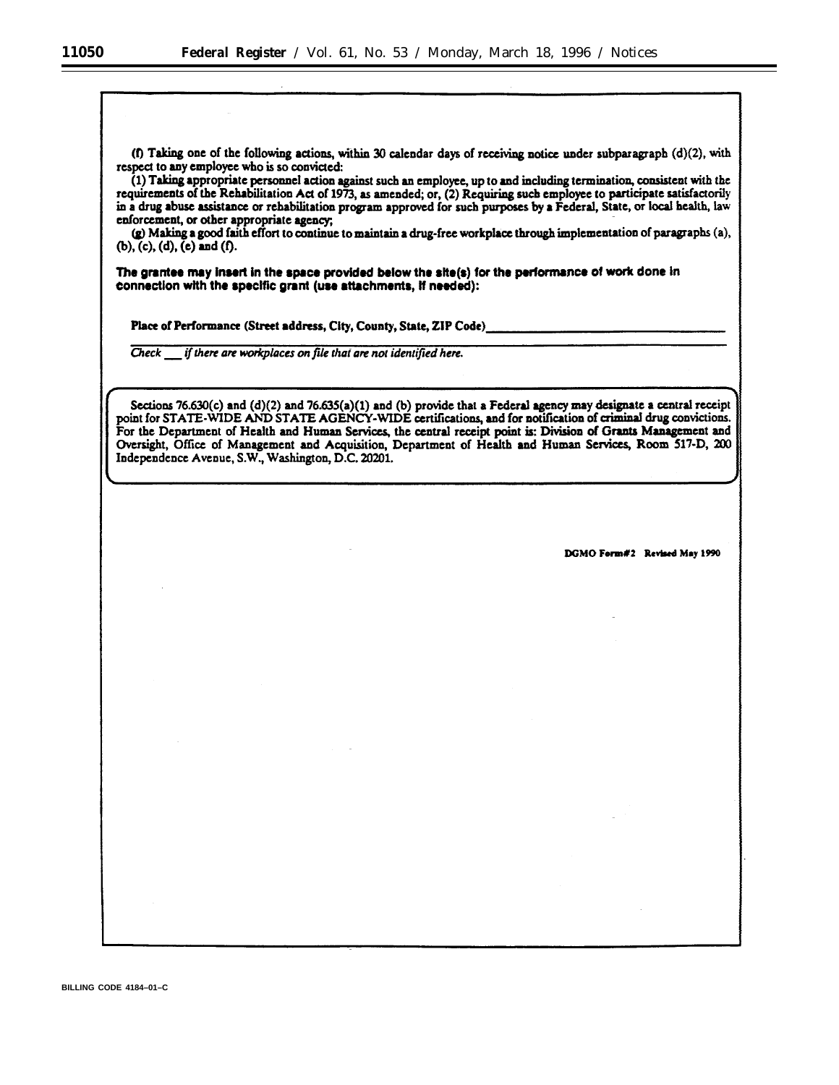(f) Taking one of the following actions, within 30 calendar days of receiving notice under subparagraph  $(d)(2)$ , with respect to any employee who is so convicted:

(1) Taking appropriate personnel action against such an employee, up to and including termination, consistent with the requirements of the Rehabilitation Act of 1973, as amended; or, (2) Requiring such employee to participate satisfactorily in a drug abuse assistance or rehabilitation program approved for such purposes by a Federal, State, or local health, law enforcement, or other appropriate agency;

(g) Making a good faith effort to continue to maintain a drug-free workplace through implementation of paragraphs (a),  $(b), (c), (d), (e)$  and  $(f).$ 

The grantee may insert in the space provided below the site(s) for the performance of work done in connection with the specific grant (use attachments, if needed):

Place of Performance (Street address, City, County, State, ZIP Code)

Check \_\_ if there are workplaces on file that are not identified here.

Sections 76.630(c) and (d)(2) and 76.635(a)(1) and (b) provide that a Federal agency may designate a central receipt point for STATE-WIDE AND STATE AGENCY-WIDE certifications, and for notification of criminal drug convictions. For the Department of Health and Human Services, the central receipt point is: Division of Grants Management and Oversight, Office of Management and Acquisition, Department of Health and Human Services, Room 517-D, 200 Independence Avenue, S.W., Washington, D.C. 20201.

DGMO Form#2 Revised May 1990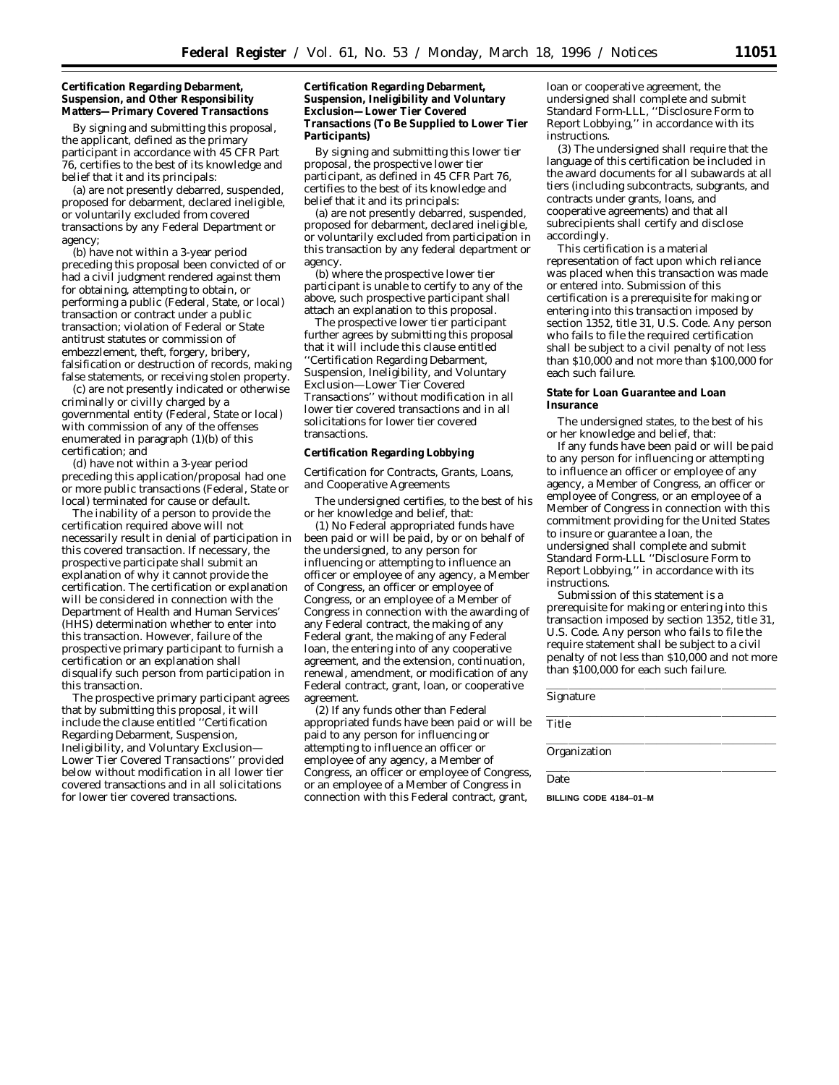**Certification Regarding Debarment, Suspension, and Other Responsibility Matters—Primary Covered Transactions**

By signing and submitting this proposal, the applicant, defined as the primary participant in accordance with 45 CFR Part 76, certifies to the best of its knowledge and belief that it and its principals:

(a) are not presently debarred, suspended, proposed for debarment, declared ineligible, or voluntarily excluded from covered transactions by any Federal Department or agency;

(b) have not within a 3-year period preceding this proposal been convicted of or had a civil judgment rendered against them for obtaining, attempting to obtain, or performing a public (Federal, State, or local) transaction or contract under a public transaction; violation of Federal or State antitrust statutes or commission of embezzlement, theft, forgery, bribery, falsification or destruction of records, making false statements, or receiving stolen property.

(c) are not presently indicated or otherwise criminally or civilly charged by a governmental entity (Federal, State or local) with commission of any of the offenses enumerated in paragraph (1)(b) of this certification; and

(d) have not within a 3-year period preceding this application/proposal had one or more public transactions (Federal, State or local) terminated for cause or default.

The inability of a person to provide the certification required above will not necessarily result in denial of participation in this covered transaction. If necessary, the prospective participate shall submit an explanation of why it cannot provide the certification. The certification or explanation will be considered in connection with the Department of Health and Human Services' (HHS) determination whether to enter into this transaction. However, failure of the prospective primary participant to furnish a certification or an explanation shall disqualify such person from participation in this transaction.

The prospective primary participant agrees that by submitting this proposal, it will include the clause entitled ''Certification Regarding Debarment, Suspension, Ineligibility, and Voluntary Exclusion— Lower Tier Covered Transactions'' provided below without modification in all lower tier covered transactions and in all solicitations for lower tier covered transactions.

**Certification Regarding Debarment, Suspension, Ineligibility and Voluntary Exclusion—Lower Tier Covered Transactions (To Be Supplied to Lower Tier Participants)**

By signing and submitting this lower tier proposal, the prospective lower tier participant, as defined in 45 CFR Part 76, certifies to the best of its knowledge and belief that it and its principals:

(a) are not presently debarred, suspended, proposed for debarment, declared ineligible, or voluntarily excluded from participation in this transaction by any federal department or agency.

(b) where the prospective lower tier participant is unable to certify to any of the above, such prospective participant shall attach an explanation to this proposal.

The prospective lower tier participant further agrees by submitting this proposal that it will include this clause entitled ''Certification Regarding Debarment, Suspension, Ineligibility, and Voluntary Exclusion—Lower Tier Covered Transactions'' without modification in all lower tier covered transactions and in all solicitations for lower tier covered transactions.

#### **Certification Regarding Lobbying**

*Certification for Contracts, Grants, Loans, and Cooperative Agreements*

The undersigned certifies, to the best of his or her knowledge and belief, that:

(1) No Federal appropriated funds have been paid or will be paid, by or on behalf of the undersigned, to any person for influencing or attempting to influence an officer or employee of any agency, a Member of Congress, an officer or employee of Congress, or an employee of a Member of Congress in connection with the awarding of any Federal contract, the making of any Federal grant, the making of any Federal loan, the entering into of any cooperative agreement, and the extension, continuation, renewal, amendment, or modification of any Federal contract, grant, loan, or cooperative agreement.

(2) If any funds other than Federal appropriated funds have been paid or will be paid to any person for influencing or attempting to influence an officer or employee of any agency, a Member of Congress, an officer or employee of Congress, or an employee of a Member of Congress in connection with this Federal contract, grant,

loan or cooperative agreement, the undersigned shall complete and submit Standard Form-LLL, ''Disclosure Form to Report Lobbying,'' in accordance with its instructions.

(3) The undersigned shall require that the language of this certification be included in the award documents for all subawards at all tiers (including subcontracts, subgrants, and contracts under grants, loans, and cooperative agreements) and that all subrecipients shall certify and disclose accordingly.

This certification is a material representation of fact upon which reliance was placed when this transaction was made or entered into. Submission of this certification is a prerequisite for making or entering into this transaction imposed by section 1352, title 31, U.S. Code. Any person who fails to file the required certification shall be subject to a civil penalty of not less than \$10,000 and not more than \$100,000 for each such failure.

**State for Loan Guarantee and Loan Insurance**

The undersigned states, to the best of his or her knowledge and belief, that:

If any funds have been paid or will be paid to any person for influencing or attempting to influence an officer or employee of any agency, a Member of Congress, an officer or employee of Congress, or an employee of a Member of Congress in connection with this commitment providing for the United States to insure or guarantee a loan, the undersigned shall complete and submit Standard Form-LLL ''Disclosure Form to Report Lobbying,'' in accordance with its instructions.

Submission of this statement is a prerequisite for making or entering into this transaction imposed by section 1352, title 31, U.S. Code. Any person who fails to file the require statement shall be subject to a civil penalty of not less than \$10,000 and not more than \$100,000 for each such failure.

lllllllllllllllllllll

lllalla i se solo si se solo si se solo si se solo si se solo si se solo si se solo si se solo si se solo si s

Signature

Title

Date

**BILLING CODE 4184–01–M**

Organization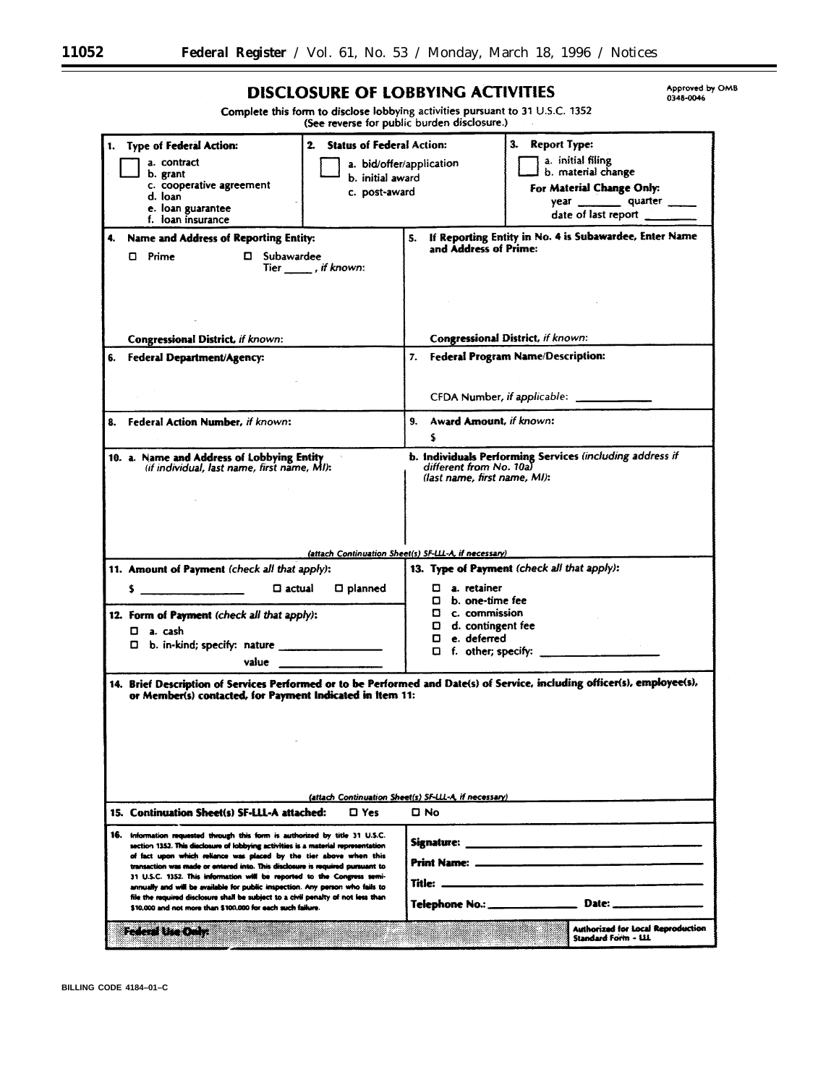۳

۰

|    |                                                                                                                                                                                                                                                                                                                                                                                                                                                                                                                                                                           |                                                                                                                     | <b>DISCLOSURE OF LOBBYING ACTIVITIES</b>                                                                                                                 |                                                                                                                                                  | Approved by OMB<br>0348-0046 |
|----|---------------------------------------------------------------------------------------------------------------------------------------------------------------------------------------------------------------------------------------------------------------------------------------------------------------------------------------------------------------------------------------------------------------------------------------------------------------------------------------------------------------------------------------------------------------------------|---------------------------------------------------------------------------------------------------------------------|----------------------------------------------------------------------------------------------------------------------------------------------------------|--------------------------------------------------------------------------------------------------------------------------------------------------|------------------------------|
|    |                                                                                                                                                                                                                                                                                                                                                                                                                                                                                                                                                                           |                                                                                                                     | Complete this form to disclose lobbying activities pursuant to 31 U.S.C. 1352<br>(See reverse for public burden disclosure.)                             |                                                                                                                                                  |                              |
| 1. | Type of Federal Action:<br>a. contract<br>b. grant<br>c. cooperative agreement<br>d. Ioan<br>e. loan guarantee<br>f. loan insurance                                                                                                                                                                                                                                                                                                                                                                                                                                       | <b>Status of Federal Action:</b><br>2 <sub>1</sub><br>a. bid/offer/application<br>b. initial award<br>c. post-award |                                                                                                                                                          | 3. Report Type:<br>a. initial filing<br>b. material change<br>For Material Change Only:<br>year __________ quarter ______<br>date of last report |                              |
| 4. | Name and Address of Reporting Entity:<br>$\square$ Prime<br>$\square$ Subawardee                                                                                                                                                                                                                                                                                                                                                                                                                                                                                          | Tier _____ , if known:                                                                                              | 5.<br>and Address of Prime:                                                                                                                              | If Reporting Entity in No. 4 is Subawardee, Enter Name                                                                                           |                              |
|    | Congressional District, if known:                                                                                                                                                                                                                                                                                                                                                                                                                                                                                                                                         |                                                                                                                     |                                                                                                                                                          | Congressional District, if known:                                                                                                                |                              |
|    | 6. Federal Department/Agency:                                                                                                                                                                                                                                                                                                                                                                                                                                                                                                                                             |                                                                                                                     | Federal Program Name/Description:<br>7.<br>CFDA Number, if applicable: ____________                                                                      |                                                                                                                                                  |                              |
|    | 8. Federal Action Number, if known:                                                                                                                                                                                                                                                                                                                                                                                                                                                                                                                                       |                                                                                                                     | 9. Award Amount, if known:<br>S                                                                                                                          |                                                                                                                                                  |                              |
|    |                                                                                                                                                                                                                                                                                                                                                                                                                                                                                                                                                                           |                                                                                                                     | (last name, first name, MI):<br>(attach Continuation Sheet(s) SF-LLL-A, if necessary)                                                                    |                                                                                                                                                  |                              |
|    | 11. Amount of Payment (check all that apply):                                                                                                                                                                                                                                                                                                                                                                                                                                                                                                                             |                                                                                                                     |                                                                                                                                                          | 13. Type of Payment (check all that apply):                                                                                                      |                              |
|    | $\square$ actual<br>12. Form of Payment (check all that apply):<br>a. cash<br>0.<br>value                                                                                                                                                                                                                                                                                                                                                                                                                                                                                 | $\square$ planned                                                                                                   | $\Box$ a. retainer<br>$\Box$ b. one-time fee<br><b>E</b> c. commission<br>$\Box$ d. contingent fee<br>$\square$ e. deferred<br>$\Box$ f. other; specify: |                                                                                                                                                  |                              |
|    | 14. Brief Description of Services Performed or to be Performed and Date(s) of Service, including officer(s), employee(s),<br>or Member(s) contacted, for Payment Indicated in Item 11:                                                                                                                                                                                                                                                                                                                                                                                    |                                                                                                                     |                                                                                                                                                          |                                                                                                                                                  |                              |
|    | 15. Continuation Sheet(s) SF-LLL-A attached:                                                                                                                                                                                                                                                                                                                                                                                                                                                                                                                              | $\square$ Yes                                                                                                       | (attach Continuation Sheet(s) SF-LLI-A, if necessary)<br>□ No                                                                                            |                                                                                                                                                  |                              |
|    | 16. Information requested through this form is authorized by title 31 U.S.C.<br>section 1352. This disclosure of lobbying activities is a material representation<br>of fact upon which reliance was placed by the tier above when this<br>transaction was made or entered into. This disclosure is required pursuant to<br>31 U.S.C. 1352. This information will be reported to the Congress semi-<br>annually and will be available for public inspection. Any person who fails to<br>file the required disclosure shall be subject to a civil penalty of not less than |                                                                                                                     | <b>Print Name:</b> ___________<br><b>Title:</b> ________________                                                                                         | Telephone No.: _____________________ Date: _____                                                                                                 |                              |
|    | \$10,000 and not more than \$100,000 for each such failure.<br><u>r mirtin</u>                                                                                                                                                                                                                                                                                                                                                                                                                                                                                            |                                                                                                                     |                                                                                                                                                          | <b>Authorized for Local Reproduction</b><br>Standard Form - LLL                                                                                  |                              |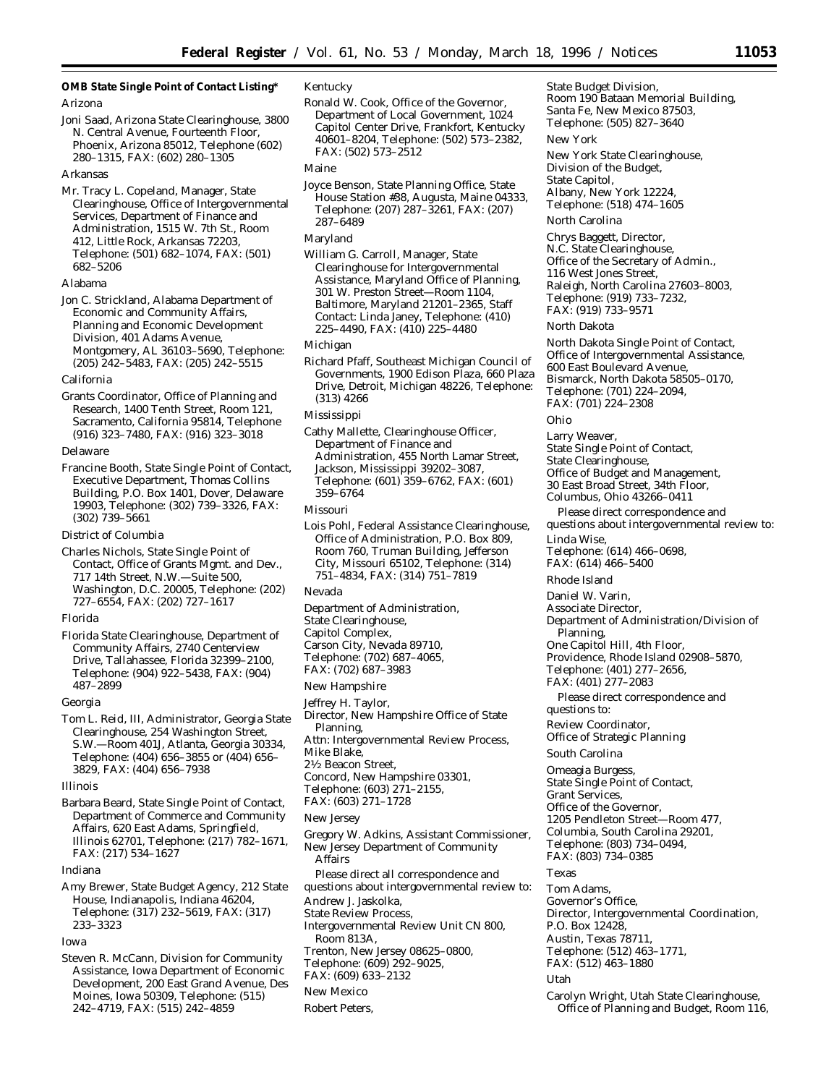**OMB State Single Point of Contact Listing\*** Arizona

Joni Saad, Arizona State Clearinghouse, 3800 N. Central Avenue, Fourteenth Floor, Phoenix, Arizona 85012, Telephone (602) 280–1315, FAX: (602) 280–1305

#### Arkansas

Mr. Tracy L. Copeland, Manager, State Clearinghouse, Office of Intergovernmental Services, Department of Finance and Administration, 1515 W. 7th St., Room 412, Little Rock, Arkansas 72203, Telephone: (501) 682–1074, FAX: (501) 682–5206

#### Alabama

Jon C. Strickland, Alabama Department of Economic and Community Affairs, Planning and Economic Development Division, 401 Adams Avenue, Montgomery, AL 36103–5690, Telephone: (205) 242–5483, FAX: (205) 242–5515

#### California

Grants Coordinator, Office of Planning and Research, 1400 Tenth Street, Room 121, Sacramento, California 95814, Telephone (916) 323–7480, FAX: (916) 323–3018

# Delaware

Francine Booth, State Single Point of Contact, Executive Department, Thomas Collins Building, P.O. Box 1401, Dover, Delaware 19903, Telephone: (302) 739–3326, FAX: (302) 739–5661

District of Columbia

Charles Nichols, State Single Point of Contact, Office of Grants Mgmt. and Dev., 717 14th Street, N.W.—Suite 500, Washington, D.C. 20005, Telephone: (202) 727–6554, FAX: (202) 727–1617

# Florida

Florida State Clearinghouse, Department of Community Affairs, 2740 Centerview Drive, Tallahassee, Florida 32399–2100, Telephone: (904) 922–5438, FAX: (904) 487–2899

#### Georgia

Tom L. Reid, III, Administrator, Georgia State Clearinghouse, 254 Washington Street, S.W.—Room 401J, Atlanta, Georgia 30334, Telephone: (404) 656–3855 or (404) 656– 3829, FAX: (404) 656–7938

#### Illinois

Barbara Beard, State Single Point of Contact, Department of Commerce and Community Affairs, 620 East Adams, Springfield, Illinois 62701, Telephone: (217) 782–1671, FAX: (217) 534–1627

#### Indiana

Amy Brewer, State Budget Agency, 212 State House, Indianapolis, Indiana 46204, Telephone: (317) 232–5619, FAX: (317) 233–3323

#### Iowa

Steven R. McCann, Division for Community Assistance, Iowa Department of Economic Development, 200 East Grand Avenue, Des Moines, Iowa 50309, Telephone: (515) 242–4719, FAX: (515) 242–4859

# Kentucky

Ronald W. Cook, Office of the Governor, Department of Local Government, 1024 Capitol Center Drive, Frankfort, Kentucky 40601–8204, Telephone: (502) 573–2382, FAX: (502) 573–2512

#### Maine

Joyce Benson, State Planning Office, State House Station #38, Augusta, Maine 04333, Telephone: (207) 287–3261, FAX: (207) 287–6489

# Maryland

William G. Carroll, Manager, State Clearinghouse for Intergovernmental Assistance, Maryland Office of Planning, 301 W. Preston Street—Room 1104, Baltimore, Maryland 21201–2365, Staff Contact: Linda Janey, Telephone: (410) 225–4490, FAX: (410) 225–4480

#### Michigan

Richard Pfaff, Southeast Michigan Council of Governments, 1900 Edison Plaza, 660 Plaza Drive, Detroit, Michigan 48226, Telephone: (313) 4266

# Mississippi

Cathy Mallette, Clearinghouse Officer, Department of Finance and Administration, 455 North Lamar Street, Jackson, Mississippi 39202–3087, Telephone: (601) 359–6762, FAX: (601) 359–6764

# Missouri

Lois Pohl, Federal Assistance Clearinghouse, Office of Administration, P.O. Box 809, Room 760, Truman Building, Jefferson City, Missouri 65102, Telephone: (314) 751–4834, FAX: (314) 751–7819

# Nevada

Department of Administration, State Clearinghouse, Capitol Complex, Carson City, Nevada 89710, Telephone: (702) 687–4065, FAX: (702) 687–3983

# New Hampshire

- Jeffrey H. Taylor, Director, New Hampshire Office of State Planning, Attn: Intergovernmental Review Process, Mike Blake, 21⁄2 Beacon Street, Concord, New Hampshire 03301, Telephone: (603) 271–2155,
- FAX: (603) 271–1728

#### New Jersey

Gregory W. Adkins, Assistant Commissioner, New Jersey Department of Community Affairs

Please direct all correspondence and questions about intergovernmental review to: Andrew J. Jaskolka, State Review Process, Intergovernmental Review Unit CN 800, Room 813A, Trenton, New Jersey 08625–0800, Telephone: (609) 292-9025, FAX: (609) 633–2132

# New Mexico

Robert Peters,

State Budget Division, Room 190 Bataan Memorial Building, Santa Fe, New Mexico 87503, Telephone: (505) 827–3640 New York New York State Clearinghouse,

Division of the Budget, State Capitol, Albany, New York 12224, Telephone: (518) 474–1605

# North Carolina

Chrys Baggett, Director, N.C. State Clearinghouse, Office of the Secretary of Admin., 116 West Jones Street, Raleigh, North Carolina 27603–8003, Telephone: (919) 733–7232, FAX: (919) 733–9571

#### North Dakota

North Dakota Single Point of Contact, Office of Intergovernmental Assistance, 600 East Boulevard Avenue, Bismarck, North Dakota 58505–0170, Telephone: (701) 224–2094, FAX: (701) 224–2308

# Ohio

Larry Weaver, State Single Point of Contact, State Clearinghouse, Office of Budget and Management,

30 East Broad Street, 34th Floor,

- Columbus, Ohio 43266–0411
- Please direct correspondence and questions about intergovernmental review to:
- Linda Wise,
- Telephone: (614) 466–0698, FAX: (614) 466–5400

Rhode Island

Daniel W. Varin,

Associate Director, Department of Administration/Division of

Planning, One Capitol Hill, 4th Floor,

Providence, Rhode Island 02908–5870,

Telephone: (401) 277–2656, FAX: (401) 277–2083

Please direct correspondence and questions to: Review Coordinator, Office of Strategic Planning

#### South Carolina

Omeagia Burgess, State Single Point of Contact, Grant Services, Office of the Governor, 1205 Pendleton Street—Room 477, Columbia, South Carolina 29201, Telephone: (803) 734–0494, FAX: (803) 734–0385

#### Texas

Tom Adams, Governor's Office, Director, Intergovernmental Coordination, P.O. Box 12428, Austin, Texas 78711, Telephone: (512) 463–1771, FAX: (512) 463–1880

# Utah

Carolyn Wright, Utah State Clearinghouse, Office of Planning and Budget, Room 116,